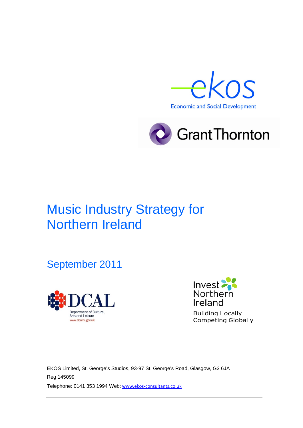



# Music Industry Strategy for Northern Ireland

September 2011





EKOS Limited, St. George's Studios, 93-97 St. George's Road, Glasgow, G3 6JA Reg 145099 Telephone: 0141 353 1994 Web: [www.ekos-consultants.co.uk](http://www.ekos-consultants.co.uk/)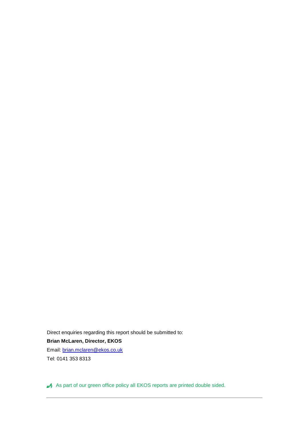Direct enquiries regarding this report should be submitted to: **Brian McLaren, Director, EKOS** Email: [brian.mclaren@ekos.co.uk](mailto:brian.mclaren@ekos.co.uk) Tel: 0141 353 8313

As part of our green office policy all EKOS reports are printed double sided.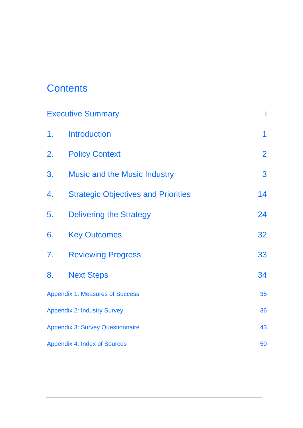# **Contents**

|                                         | <b>Executive Summary</b>                   |                |
|-----------------------------------------|--------------------------------------------|----------------|
| 1.                                      | <b>Introduction</b>                        | $\mathbf 1$    |
| 2.                                      | <b>Policy Context</b>                      | $\overline{2}$ |
| 3.                                      | <b>Music and the Music Industry</b>        | 3              |
| 4.                                      | <b>Strategic Objectives and Priorities</b> | 14             |
| 5.                                      | <b>Delivering the Strategy</b>             | 24             |
| 6.                                      | <b>Key Outcomes</b>                        | 32             |
| 7.                                      | <b>Reviewing Progress</b>                  | 33             |
| 8.                                      | <b>Next Steps</b>                          | 34             |
|                                         | <b>Appendix 1: Measures of Success</b>     | 35             |
|                                         | <b>Appendix 2: Industry Survey</b>         | 36             |
| <b>Appendix 3: Survey Questionnaire</b> |                                            | 43             |
|                                         | <b>Appendix 4: Index of Sources</b>        | 50             |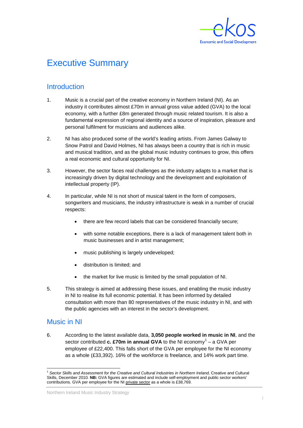

## <span id="page-3-0"></span>Executive Summary

### **Introduction**

- 1. Music is a crucial part of the creative economy in Northern Ireland (NI). As an industry it contributes almost £70m in annual gross value added (GVA) to the local economy, with a further £8m generated through music related tourism. It is also a fundamental expression of regional identity and a source of inspiration, pleasure and personal fulfilment for musicians and audiences alike.
- 2. NI has also produced some of the world's leading artists. From James Galway to Snow Patrol and David Holmes, NI has always been a country that is rich in music and musical tradition, and as the global music industry continues to grow, this offers a real economic and cultural opportunity for NI.
- 3. However, the sector faces real challenges as the industry adapts to a market that is increasingly driven by digital technology and the development and exploitation of intellectual property (IP).
- 4. In particular, while NI is not short of musical talent in the form of composers, songwriters and musicians, the industry infrastructure is weak in a number of crucial respects:
	- there are few record labels that can be considered financially secure;
	- with some notable exceptions, there is a lack of management talent both in music businesses and in artist management;
	- music publishing is largely undeveloped;
	- distribution is limited; and
	- the market for live music is limited by the small population of NI.
- 5. This strategy is aimed at addressing these issues, and enabling the music industry in NI to realise its full economic potential. It has been informed by detailed consultation with more than 80 representatives of the music industry in NI, and with the public agencies with an interest in the sector's development.

### Music in NI

6. According to the latest available data, **3,050 people worked in music in NI**, and the sector contributed **c. £70m in annual GVA** to the NI economy<sup>[1](#page-3-1)</sup> – a GVA per employee of £22,400. This falls short of the GVA per employee for the NI economy as a whole (£33,392). 16% of the workforce is freelance, and 14% work part time.

<span id="page-3-1"></span> <sup>1</sup> *Sector Skills and Assessment for the Creative and Cultural Industries in Northern Ireland,* Creative and Cultural Skills, December 2010*.* **NB:** GVA figures are estimated and include self-employment and public sector workers' contributions. GVA per employee for the NI private sector as a whole is £38,769.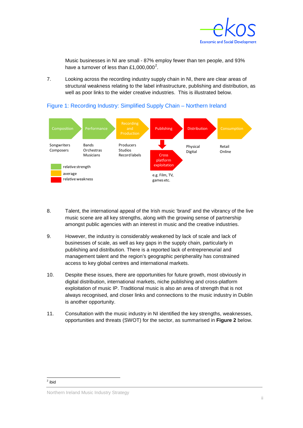

Music businesses in NI are small - 87% employ fewer than ten people, and 93% have a turnover of less than £1,000,000<sup>[2](#page-4-0)</sup>.

7. Looking across the recording industry supply chain in NI, there are clear areas of structural weakness relating to the label infrastructure, publishing and distribution, as well as poor links to the wider creative industries. This is illustrated below.

### Figure 1: Recording Industry: Simplified Supply Chain – Northern Ireland



- 8. Talent, the international appeal of the Irish music 'brand' and the vibrancy of the live music scene are all key strengths, along with the growing sense of partnership amongst public agencies with an interest in music and the creative industries.
- 9. However, the industry is considerably weakened by lack of scale and lack of businesses of scale, as well as key gaps in the supply chain, particularly in publishing and distribution. There is a reported lack of entrepreneurial and management talent and the region's geographic peripherality has constrained access to key global centres and international markets.
- 10. Despite these issues, there are opportunities for future growth, most obviously in digital distribution, international markets, niche publishing and cross-platform exploitation of music IP. Traditional music is also an area of strength that is not always recognised, and closer links and connections to the music industry in Dublin is another opportunity.
- <span id="page-4-0"></span>11. Consultation with the music industry in NI identified the key strengths, weaknesses, opportunities and threats (SWOT) for the sector, as summarised in **Figure 2** below.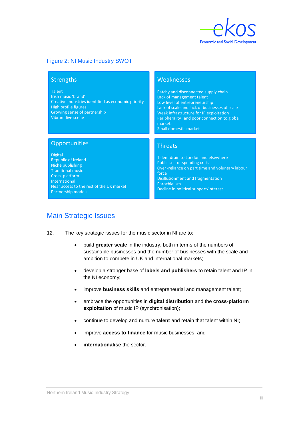

### Figure 2: NI Music Industry SWOT

#### **Strengths**

Talent Irish music 'brand'

Creative Industries identified as economic priority High profile figures Growing sense of partnership Vibrant live scene

#### **Weaknesses**

Patchy and disconnected supply chain Lack of management talent Low level of entrepreneurship Lack of scale and lack of businesses of scale Weak infrastructure for IP exploitation Peripherality and poor connection to global markets Small domestic market

### **Opportunities**

Digital Republic of Ireland Niche publishing Traditional music Cross-platform International Near access to the rest of the UK market Partnership models

### **Threats**

Talent drain to London and elsewhere Public sector spending crisis Over-reliance on part time and voluntary labour force Disillusionment and fragmentation Parochialism Decline in political support/interest

### Main Strategic Issues

- 12. The key strategic issues for the music sector in NI are to:
	- build **greater scale** in the industry, both in terms of the numbers of sustainable businesses and the number of businesses with the scale and ambition to compete in UK and international markets;
	- develop a stronger base of **labels and publishers** to retain talent and IP in the NI economy;
	- improve **business skills** and entrepreneurial and management talent;
	- embrace the opportunities in **digital distribution** and the **cross-platform exploitation** of music IP (synchronisation);
	- continue to develop and nurture **talent** and retain that talent within NI;
	- improve **access to finance** for music businesses; and
	- **internationalise** the sector.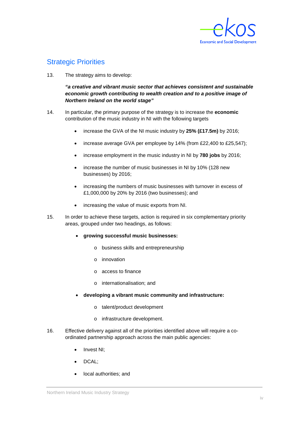

## Strategic Priorities

13. The strategy aims to develop:

*"a creative and vibrant music sector that achieves consistent and sustainable economic growth contributing to wealth creation and to a positive image of Northern Ireland on the world stage"* 

- 14. In particular, the primary purpose of the strategy is to increase the **economic** contribution of the music industry in NI with the following targets
	- increase the GVA of the NI music industry by **25% (£17.5m)** by 2016;
	- increase average GVA per employee by 14% (from £22,400 to £25,547);
	- increase employment in the music industry in NI by **780 jobs** by 2016;
	- increase the number of music businesses in NI by 10% (128 new businesses) by 2016;
	- increasing the numbers of music businesses with turnover in excess of £1,000,000 by 20% by 2016 (two businesses); and
	- increasing the value of music exports from NI.
- 15. In order to achieve these targets, action is required in six complementary priority areas, grouped under two headings, as follows:
	- **growing successful music businesses:**
		- o business skills and entrepreneurship
		- o innovation
		- o access to finance
		- o internationalisation; and
	- **developing a vibrant music community and infrastructure:**
		- o talent/product development
		- o infrastructure development.
- 16. Effective delivery against all of the priorities identified above will require a coordinated partnership approach across the main public agencies:
	- Invest NI:
	- DCAL;
	- local authorities; and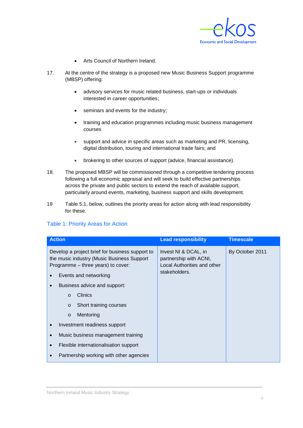

- Arts Council of Northern Ireland.
- 17. At the centre of the strategy is a proposed new Music Business Support programme (MBSP) offering:
	- advisory services for music related business, start-ups or individuals interested in career opportunities;
	- seminars and events for the industry;
	- training and education programmes including music business management courses
	- support and advice in specific areas such as marketing and PR, licensing, digital distribution, touring and international trade fairs; and
	- brokering to other sources of support (advice, financial assistance).
- 18. The proposed MBSP will be commissioned through a competitive tendering process following a full economic appraisal and will seek to build effective partnerships across the private and public sectors to extend the reach of available support, particularly around events, marketing, business support and skills development.
- 19 Table 5.1, below, outlines the priority areas for action along with lead responsibility for these.

| <b>Action</b>                                                                                                                                                                                                                                                                                                                                     | <b>Lead responsibility</b>                                                                     | <b>Timescale</b> |
|---------------------------------------------------------------------------------------------------------------------------------------------------------------------------------------------------------------------------------------------------------------------------------------------------------------------------------------------------|------------------------------------------------------------------------------------------------|------------------|
| Develop a project brief for business support to<br>the music industry (Music Business Support<br>Programme - three years) to cover:<br>Events and networking<br>Business advice and support:<br>$\bullet$<br><b>Clinics</b><br>$\Omega$<br>Short training courses<br>$\circ$<br>Mentoring<br>$\circ$<br>Investment readiness support<br>$\bullet$ | Invest NI & DCAL, in<br>partnership with ACNI,<br>Local Authorities and other<br>stakeholders. | By October 2011  |
| Music business management training<br>$\bullet$                                                                                                                                                                                                                                                                                                   |                                                                                                |                  |
| Flexible internationalisation support<br>$\bullet$                                                                                                                                                                                                                                                                                                |                                                                                                |                  |
| Partnership working with other agencies                                                                                                                                                                                                                                                                                                           |                                                                                                |                  |

### Table 1: Priority Areas for Action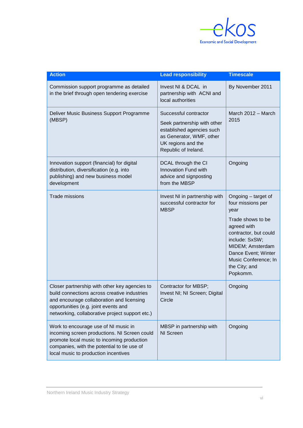

| <b>Action</b>                                                                                                                                                                                                                         | <b>Lead responsibility</b>                                                                                                                                  | <b>Timescale</b>                                                                                                                                                                                                                |
|---------------------------------------------------------------------------------------------------------------------------------------------------------------------------------------------------------------------------------------|-------------------------------------------------------------------------------------------------------------------------------------------------------------|---------------------------------------------------------------------------------------------------------------------------------------------------------------------------------------------------------------------------------|
| Commission support programme as detailed<br>in the brief through open tendering exercise                                                                                                                                              | Invest NI & DCAL in<br>partnership with ACNI and<br>local authorities                                                                                       | By November 2011                                                                                                                                                                                                                |
| Deliver Music Business Support Programme<br>(MBSP)                                                                                                                                                                                    | Successful contractor<br>Seek partnership with other<br>established agencies such<br>as Generator, WMF, other<br>UK regions and the<br>Republic of Ireland. | March 2012 - March<br>2015                                                                                                                                                                                                      |
| Innovation support (financial) for digital<br>distribution, diversification (e.g. into<br>publishing) and new business model<br>development                                                                                           | DCAL through the CI<br>Innovation Fund with<br>advice and signposting<br>from the MBSP                                                                      | Ongoing                                                                                                                                                                                                                         |
| <b>Trade missions</b>                                                                                                                                                                                                                 | Invest NI in partnership with<br>successful contractor for<br><b>MBSP</b>                                                                                   | Ongoing - target of<br>four missions per<br>year<br>Trade shows to be<br>agreed with<br>contractor, but could<br>include: SxSW;<br>MIDEM; Amsterdam<br>Dance Event; Winter<br>Music Conference; In<br>the City; and<br>Popkomm. |
| Closer partnership with other key agencies to<br>build connections across creative industries<br>and encourage collaboration and licensing<br>opportunities (e.g. joint events and<br>networking, collaborative project support etc.) | Contractor for MBSP;<br>Invest NI; NI Screen; Digital<br>Circle                                                                                             | Ongoing                                                                                                                                                                                                                         |
| Work to encourage use of NI music in<br>incoming screen productions. NI Screen could<br>promote local music to incoming production<br>companies, with the potential to tie use of<br>local music to production incentives             | MBSP in partnership with<br>NI Screen                                                                                                                       | Ongoing                                                                                                                                                                                                                         |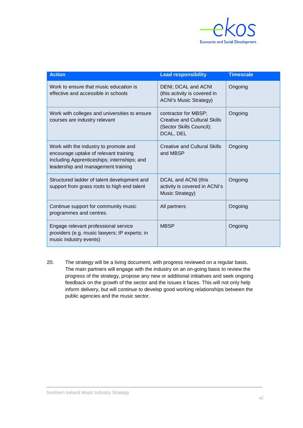

| <b>Action</b>                                                                                                                                                       | <b>Lead responsibility</b>                                                                           | <b>Timescale</b> |
|---------------------------------------------------------------------------------------------------------------------------------------------------------------------|------------------------------------------------------------------------------------------------------|------------------|
| Work to ensure that music education is<br>effective and accessible in schools                                                                                       | DENI; DCAL and ACNI<br>(this activity is covered in<br><b>ACNI's Music Strategy)</b>                 | Ongoing          |
| Work with colleges and universities to ensure<br>courses are industry relevant                                                                                      | contractor for MBSP;<br><b>Creative and Cultural Skills</b><br>(Sector Skills Council);<br>DCAL, DEL | Ongoing          |
| Work with the industry to promote and<br>encourage uptake of relevant training<br>including Apprenticeships; internships; and<br>leadership and management training | <b>Creative and Cultural Skills</b><br>and MBSP                                                      | Ongoing          |
| Structured ladder of talent development and<br>support from grass roots to high end talent                                                                          | DCAL and ACNI (this<br>activity is covered in ACNI's<br>Music Strategy)                              | Ongoing          |
| Continue support for community music<br>programmes and centres.                                                                                                     | All partners                                                                                         | Ongoing          |
| Engage relevant professional service<br>providers (e.g. music lawyers; IP experts; in<br>music industry events)                                                     | <b>MBSP</b>                                                                                          | Ongoing          |

20. The strategy will be a living document, with progress reviewed on a regular basis. The main partners will engage with the industry on an on-going basis to review the progress of the strategy, propose any new or additional initiatives and seek ongoing feedback on the growth of the sector and the issues it faces. This will not only help inform delivery, but will continue to develop good working relationships between the public agencies and the music sector.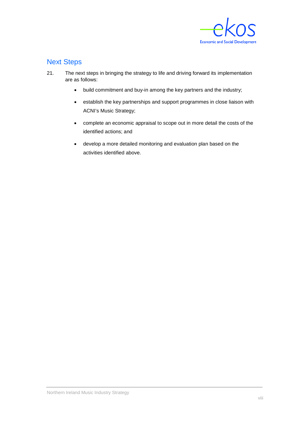

## Next Steps

- 21. The next steps in bringing the strategy to life and driving forward its implementation are as follows:
	- build commitment and buy-in among the key partners and the industry;
	- establish the key partnerships and support programmes in close liaison with ACNI's Music Strategy;
	- complete an economic appraisal to scope out in more detail the costs of the identified actions; and
	- develop a more detailed monitoring and evaluation plan based on the activities identified above.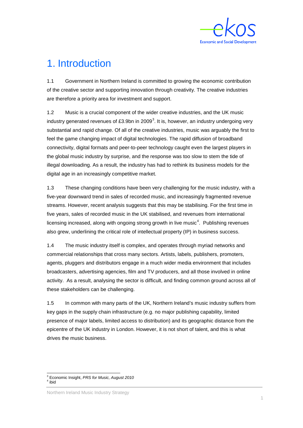

# <span id="page-11-0"></span>1. Introduction

1.1 Government in Northern Ireland is committed to growing the economic contribution of the creative sector and supporting innovation through creativity. The creative industries are therefore a priority area for investment and support.

1.2 Music is a crucial component of the wider creative industries, and the UK music industry generated revenues of £[3](#page-11-1).9bn in 2009<sup>3</sup>. It is, however, an industry undergoing very substantial and rapid change. Of all of the creative industries, music was arguably the first to feel the game changing impact of digital technologies. The rapid diffusion of broadband connectivity, digital formats and peer-to-peer technology caught even the largest players in the global music industry by surprise, and the response was too slow to stem the tide of illegal downloading. As a result, the industry has had to rethink its business models for the digital age in an increasingly competitive market.

1.3 These changing conditions have been very challenging for the music industry, with a five-year downward trend in sales of recorded music, and increasingly fragmented revenue streams. However, recent analysis suggests that this may be stabilising. For the first time in five years, sales of recorded music in the UK stabilised, and revenues from international licensing increased, along with ongoing strong growth in live music<sup>[4](#page-11-2)</sup>. Publishing revenues also grew, underlining the critical role of intellectual property (IP) in business success.

1.4 The music industry itself is complex, and operates through myriad networks and commercial relationships that cross many sectors. Artists, labels, publishers, promoters, agents, pluggers and distributors engage in a much wider media environment that includes broadcasters, advertising agencies, film and TV producers, and all those involved in online activity. As a result, analysing the sector is difficult, and finding common ground across all of these stakeholders can be challenging.

1.5 In common with many parts of the UK, Northern Ireland's music industry suffers from key gaps in the supply chain infrastructure (e.g. no major publishing capability, limited presence of major labels, limited access to distribution) and its geographic distance from the epicentre of the UK industry in London. However, it is not short of talent, and this is what drives the music business.

<span id="page-11-1"></span><sup>&</sup>lt;sup>3</sup> Economic Insight, *PRS for Music, August 2010*<br><sup>4</sup> ibid

<span id="page-11-2"></span>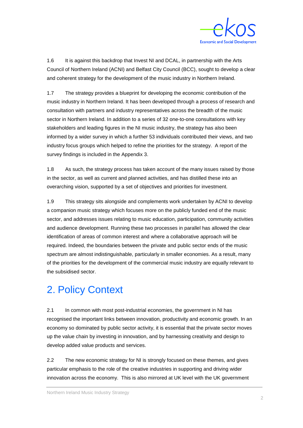

1.6 It is against this backdrop that Invest NI and DCAL, in partnership with the Arts Council of Northern Ireland (ACNI) and Belfast City Council (BCC), sought to develop a clear and coherent strategy for the development of the music industry in Northern Ireland.

1.7 The strategy provides a blueprint for developing the economic contribution of the music industry in Northern Ireland. It has been developed through a process of research and consultation with partners and industry representatives across the breadth of the music sector in Northern Ireland. In addition to a series of 32 one-to-one consultations with key stakeholders and leading figures in the NI music industry, the strategy has also been informed by a wider survey in which a further 53 individuals contributed their views, and two industry focus groups which helped to refine the priorities for the strategy. A report of the survey findings is included in the Appendix 3.

1.8 As such, the strategy process has taken account of the many issues raised by those in the sector, as well as current and planned activities, and has distilled these into an overarching vision, supported by a set of objectives and priorities for investment.

1.9 This strategy sits alongside and complements work undertaken by ACNI to develop a companion music strategy which focuses more on the publicly funded end of the music sector, and addresses issues relating to music education, participation, community activities and audience development. Running these two processes in parallel has allowed the clear identification of areas of common interest and where a collaborative approach will be required. Indeed, the boundaries between the private and public sector ends of the music spectrum are almost indistinguishable, particularly in smaller economies. As a result, many of the priorities for the development of the commercial music industry are equally relevant to the subsidised sector.

# <span id="page-12-0"></span>2. Policy Context

2.1 In common with most post-industrial economies, the government in NI has recognised the important links between innovation, productivity and economic growth. In an economy so dominated by public sector activity, it is essential that the private sector moves up the value chain by investing in innovation, and by harnessing creativity and design to develop added value products and services.

2.2 The new economic strategy for NI is strongly focused on these themes, and gives particular emphasis to the role of the creative industries in supporting and driving wider innovation across the economy. This is also mirrored at UK level with the UK government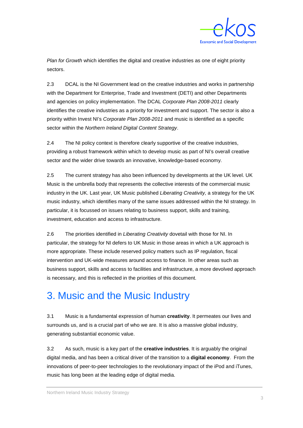

*Plan for Growth* which identifies the digital and creative industries as one of eight priority sectors.

2.3 DCAL is the NI Government lead on the creative industries and works in partnership with the Department for Enterprise, Trade and Investment (DETI) and other Departments and agencies on policy implementation. The DCAL *Corporate Plan 2008-2011* clearly identifies the creative industries as a priority for investment and support. The sector is also a priority within Invest NI's *Corporate Plan 2008-2011* and music is identified as a specific sector within the *Northern Ireland Digital Content Strategy*.

2.4 The NI policy context is therefore clearly supportive of the creative industries, providing a robust framework within which to develop music as part of NI's overall creative sector and the wider drive towards an innovative, knowledge-based economy.

2.5 The current strategy has also been influenced by developments at the UK level. UK Music is the umbrella body that represents the collective interests of the commercial music industry in the UK. Last year, UK Music published *Liberating Creativity,* a strategy for the UK music industry, which identifies many of the same issues addressed within the NI strategy. In particular, it is focussed on issues relating to business support, skills and training, investment, education and access to infrastructure.

2.6 The priorities identified in *Liberating Creativity* dovetail with those for NI. In particular, the strategy for NI defers to UK Music in those areas in which a UK approach is more appropriate. These include reserved policy matters such as IP regulation, fiscal intervention and UK-wide measures around access to finance. In other areas such as business support, skills and access to facilities and infrastructure, a more devolved approach is necessary, and this is reflected in the priorities of this document.

# <span id="page-13-0"></span>3. Music and the Music Industry

3.1 Music is a fundamental expression of human **creativity**. It permeates our lives and surrounds us, and is a crucial part of who we are. It is also a massive global industry, generating substantial economic value.

3.2 As such, music is a key part of the **creative industries**. It is arguably the original digital media, and has been a critical driver of the transition to a **digital economy**. From the innovations of peer-to-peer technologies to the revolutionary impact of the iPod and iTunes, music has long been at the leading edge of digital media.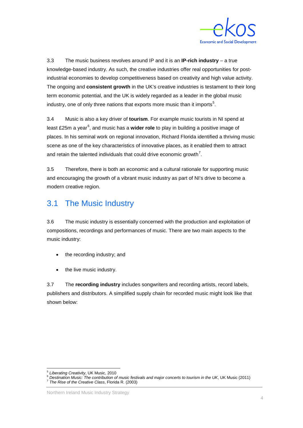

3.3 The music business revolves around IP and it is an **IP-rich industry** – a true knowledge-based industry. As such, the creative industries offer real opportunities for postindustrial economies to develop competitiveness based on creativity and high value activity. The ongoing and **consistent growth** in the UK's creative industries is testament to their long term economic potential, and the UK is widely regarded as a leader in the global music industry, one of only three nations that exports more music than it imports<sup>[5](#page-14-0)</sup>.

3.4 Music is also a key driver of **tourism**. For example music tourists in NI spend at least £25m a year [6](#page-14-1) , and music has a **wider role** to play in building a positive image of places. In his seminal work on regional innovation, Richard Florida identified a thriving music scene as one of the key characteristics of innovative places, as it enabled them to attract and retain the talented individuals that could drive economic growth<sup>[7](#page-14-2)</sup>.

3.5 Therefore, there is both an economic and a cultural rationale for supporting music and encouraging the growth of a vibrant music industry as part of NI's drive to become a modern creative region.

## 3.1 The Music Industry

3.6 The music industry is essentially concerned with the production and exploitation of compositions, recordings and performances of music. There are two main aspects to the music industry:

- the recording industry; and
- the live music industry.

3.7 The **recording industry** includes songwriters and recording artists, record labels, publishers and distributors. A simplified supply chain for recorded music might look like that shown below:

<span id="page-14-1"></span><span id="page-14-0"></span>Liberating Creativity, UK Music, 2010<br>Destination Music: The contribution of music festivals and major concerts to tourism in the UK, UK Music (2011)<br>The Rise of the Creative Class, Florida R. (2003)

<span id="page-14-2"></span>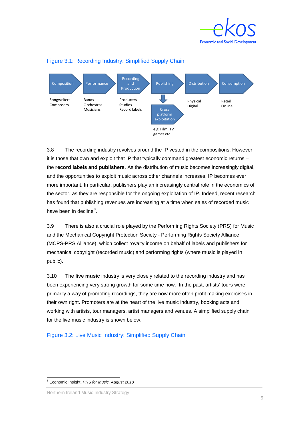



#### Figure 3.1: Recording Industry: Simplified Supply Chain

3.8 The recording industry revolves around the IP vested in the compositions. However, it is those that own and exploit that IP that typically command greatest economic returns – the **record labels and publishers**. As the distribution of music becomes increasingly digital, and the opportunities to exploit music across other channels increases, IP becomes ever more important. In particular, publishers play an increasingly central role in the economics of the sector, as they are responsible for the ongoing exploitation of IP. Indeed, recent research has found that publishing revenues are increasing at a time when sales of recorded music have been in decline<sup>[8](#page-15-0)</sup>.

3.9 There is also a crucial role played by the Performing Rights Society (PRS) for Music and the Mechanical Copyright Protection Society - Performing Rights Society Alliance (MCPS-PRS Alliance), which collect royalty income on behalf of labels and publishers for mechanical copyright (recorded music) and performing rights (where music is played in public).

3.10 The **live music** industry is very closely related to the recording industry and has been experiencing very strong growth for some time now. In the past, artists' tours were primarily a way of promoting recordings, they are now more often profit making exercises in their own right. Promoters are at the heart of the live music industry, booking acts and working with artists, tour managers, artist managers and venues. A simplified supply chain for the live music industry is shown below.

Figure 3.2: Live Music Industry: Simplified Supply Chain

Northern Ireland Music Industry Strategy

<span id="page-15-0"></span> <sup>8</sup> Economic Insight, *PRS for Music, August 2010*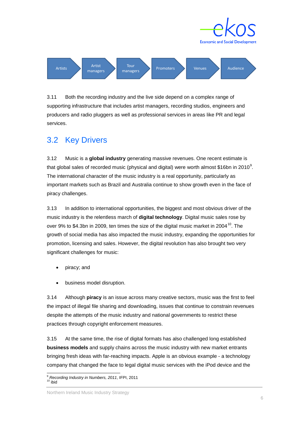

**Economic and Social Develope** 

3.11 Both the recording industry and the live side depend on a complex range of supporting infrastructure that includes artist managers, recording studios, engineers and producers and radio pluggers as well as professional services in areas like PR and legal services.

## 3.2 Key Drivers

3.12 Music is a **global industry** generating massive revenues. One recent estimate is that global sales of recorded music (physical and digital) were worth almost \$16bn in 2010<sup>[9](#page-16-0)</sup>. The international character of the music industry is a real opportunity, particularly as important markets such as Brazil and Australia continue to show growth even in the face of piracy challenges.

3.13 In addition to international opportunities, the biggest and most obvious driver of the music industry is the relentless march of **digital technology**. Digital music sales rose by over 9% to \$4.3bn in 2009, ten times the size of the digital music market in 2004<sup>[10](#page-16-1)</sup>. The growth of social media has also impacted the music industry, expanding the opportunities for promotion, licensing and sales. However, the digital revolution has also brought two very significant challenges for music:

- piracy; and
- business model disruption.

3.14 Although **piracy** is an issue across many creative sectors, music was the first to feel the impact of illegal file sharing and downloading, issues that continue to constrain revenues despite the attempts of the music industry and national governments to restrict these practices through copyright enforcement measures.

3.15 At the same time, the rise of digital formats has also challenged long established **business models** and supply chains across the music industry with new market entrants bringing fresh ideas with far-reaching impacts. Apple is an obvious example - a technology company that changed the face to legal digital music services with the iPod device and the

<span id="page-16-1"></span><span id="page-16-0"></span><sup>&</sup>lt;sup>9</sup> Recording Industry in Numbers, 2011, IFPI, 2011<br><sup>10</sup> ihid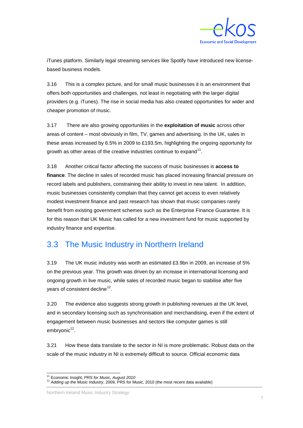

iTunes platform. Similarly legal streaming services like Spotify have introduced new licensebased business models.

3.16 This is a complex picture, and for small music businesses it is an environment that offers both opportunities and challenges, not least in negotiating with the larger digital providers (e.g. iTunes). The rise in social media has also created opportunities for wider and cheaper promotion of music.

3.17 There are also growing opportunities in the **exploitation of music** across other areas of content – most obviously in film, TV, games and advertising. In the UK, sales in these areas increased by 6.5% in 2009 to £193.5m, highlighting the ongoing opportunity for growth as other areas of the creative industries continue to expand<sup>[11](#page-17-1)</sup>.

3.18 Another critical factor affecting the success of music businesses is **access to finance**. The decline in sales of recorded music has placed increasing financial pressure on record labels and publishers, constraining their ability to invest in new talent. In addition, music businesses consistently complain that they cannot get access to even relatively modest investment finance and past research has shown that music companies rarely benefit from existing government schemes such as the Enterprise Finance Guarantee. It is for this reason that UK Music has called for a new investment fund for music supported by industry finance and expertise.

## 3.3 The Music Industry in Northern Ireland

3.19 The UK music industry was worth an estimated £3.9bn in 2009, an increase of 5% on the previous year. This growth was driven by an increase in international licensing and ongoing growth in live music, while sales of recorded music began to stabilise after five years of consistent decline<sup>[12](#page-17-2)</sup>.

<span id="page-17-0"></span>3.20 The evidence also suggests strong growth in publishing revenues at the UK level, and in secondary licensing such as synchronisation and merchandising, even if the extent of engagement between music businesses and sectors like computer games is still embryonic<sup>12</sup>.

3.21 How these data translate to the sector in NI is more problematic. Robust data on the scale of the music industry in NI is extremely difficult to source. Official economic data

Northern Ireland Music Industry Strategy

<span id="page-17-2"></span><span id="page-17-1"></span><sup>&</sup>lt;sup>11</sup> Economic Insight, *PRS for Music, August 2010*<br><sup>12</sup> *Adding up the Music Industry*, 2009, PRS for Music, 2010 (the most recent data available)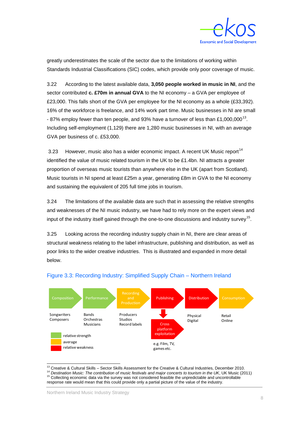

greatly underestimates the scale of the sector due to the limitations of working within Standards Industrial Classifications (SIC) codes, which provide only poor coverage of music.

3.22 According to the latest available data, **3,050 people worked in music in NI**, and the sector contributed **c. £70m in annual GVA** to the NI economy – a GVA per employee of £23,000. This falls short of the GVA per employee for the NI economy as a whole (£33,392). 16% of the workforce is freelance, and 14% work part time. Music businesses in NI are small - 87% employ fewer than ten people, and 93% have a turnover of less than £1,000,000<sup>[13](#page-18-0)</sup>. Including self-employment (1,129) there are 1,280 music businesses in NI, with an average GVA per business of c. £53,000.

3.23 However, music also has a wider economic impact. A recent UK Music report<sup>[14](#page-18-1)</sup> identified the value of music related tourism in the UK to be £1.4bn. NI attracts a greater proportion of overseas music tourists than anywhere else in the UK (apart from Scotland). Music tourists in NI spend at least £25m a year, generating £8m in GVA to the NI economy and sustaining the equivalent of 205 full time jobs in tourism.

3.24 The limitations of the available data are such that in assessing the relative strengths and weaknesses of the NI music industry, we have had to rely more on the expert views and input of the industry itself gained through the one-to-one discussions and industry survey<sup>[15](#page-18-2)</sup>.

3.25 Looking across the recording industry supply chain in NI, there are clear areas of structural weakness relating to the label infrastructure, publishing and distribution, as well as poor links to the wider creative industries. This is illustrated and expanded in more detail below.



### Figure 3.3: Recording Industry: Simplified Supply Chain – Northern Ireland

<span id="page-18-1"></span><span id="page-18-0"></span><sup>13</sup> Creative & Cultural Skills – Sector Skills Assessment for the Creative & Cultural Industries, December 2010.<br><sup>14</sup> Destination Music: The contribution of music festivals and major concerts to tourism in the UK, UK Mus

<span id="page-18-2"></span>response rate would mean that this could provide only a partial picture of the value of the industry.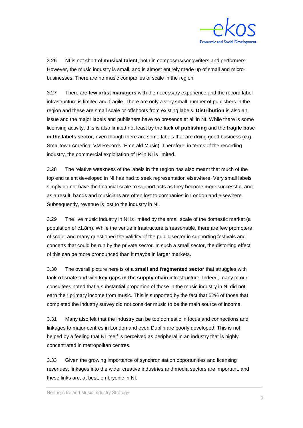

3.26 NI is not short of **musical talent**, both in composers/songwriters and performers. However, the music industry is small, and is almost entirely made up of small and microbusinesses. There are no music companies of scale in the region.

3.27 There are **few artist managers** with the necessary experience and the record label infrastructure is limited and fragile. There are only a very small number of publishers in the region and these are small scale or offshoots from existing labels. **Distribution** is also an issue and the major labels and publishers have no presence at all in NI. While there is some licensing activity, this is also limited not least by the **lack of publishing** and the **fragile base in the labels sector**, even though there are some labels that are doing good business (e.g. Smalltown America, VM Records, Emerald Music) Therefore, in terms of the recording industry, the commercial exploitation of IP in NI is limited.

3.28 The relative weakness of the labels in the region has also meant that much of the top end talent developed in NI has had to seek representation elsewhere. Very small labels simply do not have the financial scale to support acts as they become more successful, and as a result, bands and musicians are often lost to companies in London and elsewhere. Subsequently, revenue is lost to the industry in NI.

3.29 The live music industry in NI is limited by the small scale of the domestic market (a population of c1.8m). While the venue infrastructure is reasonable, there are few promoters of scale, and many questioned the validity of the public sector in supporting festivals and concerts that could be run by the private sector. In such a small sector, the distorting effect of this can be more pronounced than it maybe in larger markets.

3.30 The overall picture here is of a **small and fragmented sector** that struggles with **lack of scale** and with **key gaps in the supply chain** infrastructure. Indeed, many of our consultees noted that a substantial proportion of those in the music industry in NI did not earn their primary income from music. This is supported by the fact that 52% of those that completed the industry survey did not consider music to be the main source of income.

3.31 Many also felt that the industry can be too domestic in focus and connections and linkages to major centres in London and even Dublin are poorly developed. This is not helped by a feeling that NI itself is perceived as peripheral in an industry that is highly concentrated in metropolitan centres.

3.33 Given the growing importance of synchronisation opportunities and licensing revenues, linkages into the wider creative industries and media sectors are important, and these links are, at best, embryonic in NI.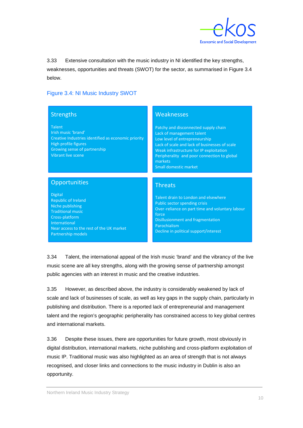

3.33 Extensive consultation with the music industry in NI identified the key strengths, weaknesses, opportunities and threats (SWOT) for the sector, as summarised in Figure 3.4 below.

### Figure 3.4: NI Music Industry SWOT

| <b>Strengths</b>                                                                                                                                                                                         | Weaknesses                                                                                                                                                                                                                                                                               |
|----------------------------------------------------------------------------------------------------------------------------------------------------------------------------------------------------------|------------------------------------------------------------------------------------------------------------------------------------------------------------------------------------------------------------------------------------------------------------------------------------------|
| <b>Talent</b><br>Irish music 'brand'<br>Creative Industries identified as economic priority<br>High profile figures<br>Growing sense of partnership<br>Vibrant live scene                                | Patchy and disconnected supply chain<br>Lack of management talent<br>Low level of entrepreneurship<br>Lack of scale and lack of businesses of scale<br>Weak infrastructure for IP exploitation<br>Peripherality and poor connection to global<br>markets<br><b>Small domestic market</b> |
| Opportunities                                                                                                                                                                                            | <b>Threats</b>                                                                                                                                                                                                                                                                           |
| <b>Digital</b><br><b>Republic of Ireland</b><br>Niche publishing<br><b>Traditional music</b><br>Cross-platform<br><b>International</b><br>Near access to the rest of the UK market<br>Partnership models | Talent drain to London and elsewhere<br>Public sector spending crisis<br>Over-reliance on part time and voluntary labour<br>force<br>Disillusionment and fragmentation<br>Parochialism<br>Decline in political support/interest                                                          |

3.34 Talent, the international appeal of the Irish music 'brand' and the vibrancy of the live music scene are all key strengths, along with the growing sense of partnership amongst public agencies with an interest in music and the creative industries.

3.35 However, as described above, the industry is considerably weakened by lack of scale and lack of businesses of scale, as well as key gaps in the supply chain, particularly in publishing and distribution. There is a reported lack of entrepreneurial and management talent and the region's geographic peripherality has constrained access to key global centres and international markets.

3.36 Despite these issues, there are opportunities for future growth, most obviously in digital distribution, international markets, niche publishing and cross-platform exploitation of music IP. Traditional music was also highlighted as an area of strength that is not always recognised, and closer links and connections to the music industry in Dublin is also an opportunity.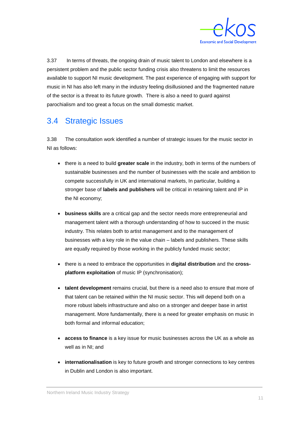

3.37 In terms of threats, the ongoing drain of music talent to London and elsewhere is a persistent problem and the public sector funding crisis also threatens to limit the resources available to support NI music development. The past experience of engaging with support for music in NI has also left many in the industry feeling disillusioned and the fragmented nature of the sector is a threat to its future growth. There is also a need to guard against parochialism and too great a focus on the small domestic market.

## 3.4 Strategic Issues

3.38 The consultation work identified a number of strategic issues for the music sector in NI as follows:

- there is a need to build **greater scale** in the industry, both in terms of the numbers of sustainable businesses and the number of businesses with the scale and ambition to compete successfully in UK and international markets, In particular, building a stronger base of **labels and publishers** will be critical in retaining talent and IP in the NI economy;
- **business skills** are a critical gap and the sector needs more entrepreneurial and management talent with a thorough understanding of how to succeed in the music industry. This relates both to artist management and to the management of businesses with a key role in the value chain – labels and publishers. These skills are equally required by those working in the publicly funded music sector;
- there is a need to embrace the opportunities in **digital distribution** and the **crossplatform exploitation** of music IP (synchronisation);
- **talent development** remains crucial, but there is a need also to ensure that more of that talent can be retained within the NI music sector. This will depend both on a more robust labels infrastructure and also on a stronger and deeper base in artist management. More fundamentally, there is a need for greater emphasis on music in both formal and informal education;
- **access to finance** is a key issue for music businesses across the UK as a whole as well as in NI; and
- **internationalisation** is key to future growth and stronger connections to key centres in Dublin and London is also important.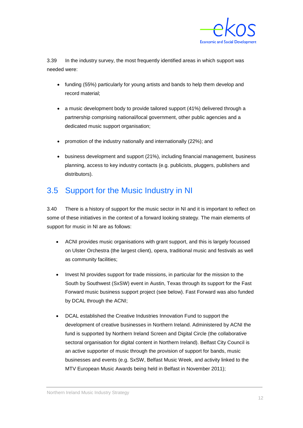

3.39 In the industry survey, the most frequently identified areas in which support was needed were:

- funding (55%) particularly for young artists and bands to help them develop and record material;
- a music development body to provide tailored support (41%) delivered through a partnership comprising national/local government, other public agencies and a dedicated music support organisation;
- promotion of the industry nationally and internationally (22%); and
- business development and support (21%), including financial management, business planning, access to key industry contacts (e.g. publicists, pluggers, publishers and distributors).

## 3.5 Support for the Music Industry in NI

3.40 There is a history of support for the music sector in NI and it is important to reflect on some of these initiatives in the context of a forward looking strategy. The main elements of support for music in NI are as follows:

- ACNI provides music organisations with grant support, and this is largely focussed on Ulster Orchestra (the largest client), opera, traditional music and festivals as well as community facilities;
- Invest NI provides support for trade missions, in particular for the mission to the South by Southwest (SxSW) event in Austin, Texas through its support for the Fast Forward music business support project (see below). Fast Forward was also funded by DCAL through the ACNI;
- DCAL established the Creative Industries Innovation Fund to support the development of creative businesses in Northern Ireland. Administered by ACNI the fund is supported by Northern Ireland Screen and Digital Circle (the collaborative sectoral organisation for digital content in Northern Ireland). Belfast City Council is an active supporter of music through the provision of support for bands, music businesses and events (e.g. SxSW, Belfast Music Week, and activity linked to the MTV European Music Awards being held in Belfast in November 2011);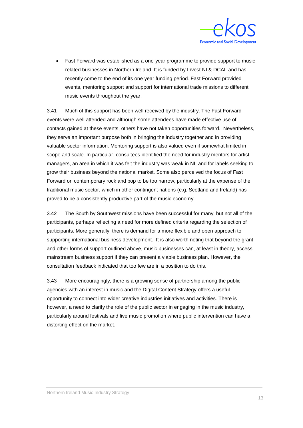

• Fast Forward was established as a one-year programme to provide support to music related businesses in Northern Ireland. It is funded by Invest NI & DCAL and has recently come to the end of its one year funding period. Fast Forward provided events, mentoring support and support for international trade missions to different music events throughout the year.

3.41 Much of this support has been well received by the industry. The Fast Forward events were well attended and although some attendees have made effective use of contacts gained at these events, others have not taken opportunities forward. Nevertheless, they serve an important purpose both in bringing the industry together and in providing valuable sector information. Mentoring support is also valued even if somewhat limited in scope and scale. In particular, consultees identified the need for industry mentors for artist managers, an area in which it was felt the industry was weak in NI, and for labels seeking to grow their business beyond the national market. Some also perceived the focus of Fast Forward on contemporary rock and pop to be too narrow, particularly at the expense of the traditional music sector, which in other contingent nations (e.g. Scotland and Ireland) has proved to be a consistently productive part of the music economy.

3.42 The South by Southwest missions have been successful for many, but not all of the participants, perhaps reflecting a need for more defined criteria regarding the selection of participants. More generally, there is demand for a more flexible and open approach to supporting international business development. It is also worth noting that beyond the grant and other forms of support outlined above, music businesses can, at least in theory, access mainstream business support if they can present a viable business plan. However, the consultation feedback indicated that too few are in a position to do this.

3.43 More encouragingly, there is a growing sense of partnership among the public agencies with an interest in music and the Digital Content Strategy offers a useful opportunity to connect into wider creative industries initiatives and activities. There is however, a need to clarify the role of the public sector in engaging in the music industry, particularly around festivals and live music promotion where public intervention can have a distorting effect on the market.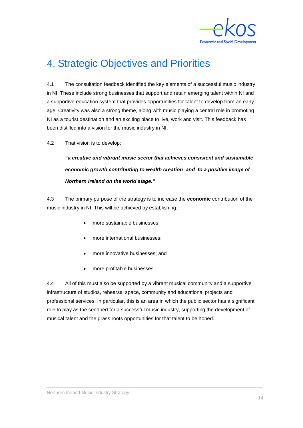

# <span id="page-24-0"></span>4. Strategic Objectives and Priorities

4.1 The consultation feedback identified the key elements of a successful music industry in NI. These include strong businesses that support and retain emerging talent within NI and a supportive education system that provides opportunities for talent to develop from an early age. Creativity was also a strong theme, along with music playing a central role in promoting NI as a tourist destination and an exciting place to live, work and visit. This feedback has been distilled into a vision for the music industry in NI.

4.2 That vision is to develop:

*"a creative and vibrant music sector that achieves consistent and sustainable economic growth contributing to wealth creation and to a positive image of Northern Ireland on the world stage."* 

4.3 The primary purpose of the strategy is to increase the **economic** contribution of the music industry in NI. This will be achieved by establishing:

- more sustainable businesses;
- more international businesses;
- more innovative businesses; and
- more profitable businesses.

4.4 All of this must also be supported by a vibrant musical community and a supportive infrastructure of studios, rehearsal space, community and educational projects and professional services. In particular, this is an area in which the public sector has a significant role to play as the seedbed for a successful music industry, supporting the development of musical talent and the grass roots opportunities for that talent to be honed.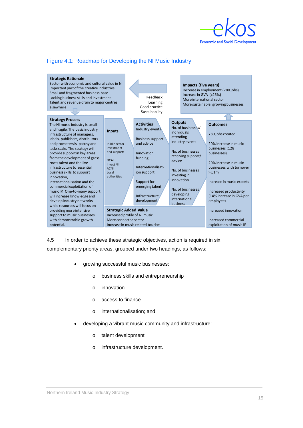

### Figure 4.1: Roadmap for Developing the NI Music Industry



4.5 In order to achieve these strategic objectives, action is required in six

complementary priority areas, grouped under two headings, as follows:

- growing successful music businesses:
	- o business skills and entrepreneurship
	- o innovation
	- o access to finance
	- o internationalisation; and
- developing a vibrant music community and infrastructure:
	- o talent development
	- o infrastructure development.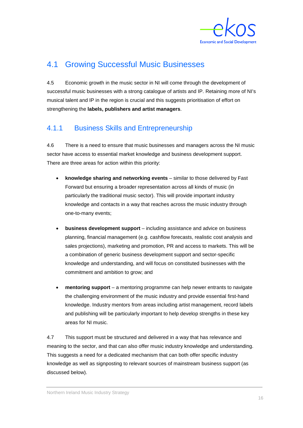

## 4.1 Growing Successful Music Businesses

4.5 Economic growth in the music sector in NI will come through the development of successful music businesses with a strong catalogue of artists and IP. Retaining more of NI's musical talent and IP in the region is crucial and this suggests prioritisation of effort on strengthening the **labels, publishers and artist managers**.

## 4.1.1 Business Skills and Entrepreneurship

4.6 There is a need to ensure that music businesses and managers across the NI music sector have access to essential market knowledge and business development support. There are three areas for action within this priority:

- **knowledge sharing and networking events** similar to those delivered by Fast Forward but ensuring a broader representation across all kinds of music (in particularly the traditional music sector). This will provide important industry knowledge and contacts in a way that reaches across the music industry through one-to-many events;
- **business development support** including assistance and advice on business planning, financial management (e.g. cashflow forecasts, realistic cost analysis and sales projections), marketing and promotion, PR and access to markets. This will be a combination of generic business development support and sector-specific knowledge and understanding, and will focus on constituted businesses with the commitment and ambition to grow; and
- **mentoring support**  a mentoring programme can help newer entrants to navigate the challenging environment of the music industry and provide essential first-hand knowledge. Industry mentors from areas including artist management, record labels and publishing will be particularly important to help develop strengths in these key areas for NI music.

4.7 This support must be structured and delivered in a way that has relevance and meaning to the sector, and that can also offer music industry knowledge and understanding. This suggests a need for a dedicated mechanism that can both offer specific industry knowledge as well as signposting to relevant sources of mainstream business support (as discussed below).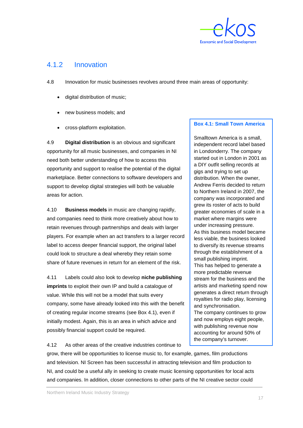

### 4.1.2 Innovation

4.8 Innovation for music businesses revolves around three main areas of opportunity:

- digital distribution of music;
- new business models; and
- cross-platform exploitation.

4.9 **Digital distribution** is an obvious and significant opportunity for all music businesses, and companies in NI need both better understanding of how to access this opportunity and support to realise the potential of the digital marketplace. Better connections to software developers and support to develop digital strategies will both be valuable areas for action.

4.10 **Business models** in music are changing rapidly, and companies need to think more creatively about how to retain revenues through partnerships and deals with larger players. For example when an act transfers to a larger record label to access deeper financial support, the original label could look to structure a deal whereby they retain some share of future revenues in return for an element of the risk.

4.11 Labels could also look to develop **niche publishing imprints** to exploit their own IP and build a catalogue of value. While this will not be a model that suits every company, some have already looked into this with the benefit of creating regular income streams (see Box 4.1), even if initially modest. Again, this is an area in which advice and possibly financial support could be required.

#### **Box 4.1: Small Town America**

Smalltown America is a small, independent record label based in Londonderry. The company started out in London in 2001 as a DIY outfit selling records at gigs and trying to set up distribution. When the owner, Andrew Ferris decided to return to Northern Ireland in 2007, the company was incorporated and grew its roster of acts to build greater economies of scale in a market where margins were under increasing pressure. As this business model became less viable, the business looked to diversify its revenue streams through the establishment of a small publishing imprint. This has helped to generate a more predictable revenue stream for the business and the artists and marketing spend now generates a direct return through royalties for radio play, licensing and synchronisation. The company continues to grow and now employs eight people, with publishing revenue now accounting for around 50% of the company's turnover.

4.12 As other areas of the creative industries continue to

grow, there will be opportunities to license music to, for example, games, film productions and television. NI Screen has been successful in attracting television and film production to NI, and could be a useful ally in seeking to create music licensing opportunities for local acts and companies. In addition, closer connections to other parts of the NI creative sector could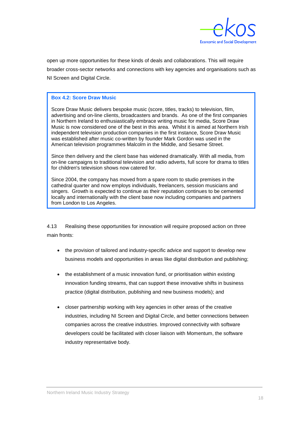

open up more opportunities for these kinds of deals and collaborations. This will require broader cross-sector networks and connections with key agencies and organisations such as NI Screen and Digital Circle.

#### **Box 4.2: Score Draw Music**

Score Draw Music delivers bespoke music (score, titles, tracks) to television, film, advertising and on-line clients, broadcasters and brands. As one of the first companies in Northern Ireland to enthusiastically embrace writing music for media, Score Draw Music is now considered one of the best in this area. Whilst it is aimed at Northern Irish independent television production companies in the first instance, Score Draw Music was established after music co-written by founder Mark Gordon was used in the American television programmes Malcolm in the Middle, and Sesame Street.

Since then delivery and the client base has widened dramatically. With all media, from on-line campaigns to traditional television and radio adverts, full score for drama to titles for children's television shows now catered for.

Since 2004, the company has moved from a spare room to studio premises in the cathedral quarter and now employs individuals, freelancers, session musicians and singers. Growth is expected to continue as their reputation continues to be cemented locally and internationally with the client base now including companies and partners from London to Los Angeles.

4.13 Realising these opportunities for innovation will require proposed action on three main fronts:

- the provision of tailored and industry-specific advice and support to develop new business models and opportunities in areas like digital distribution and publishing;
- the establishment of a music innovation fund, or prioritisation within existing innovation funding streams, that can support these innovative shifts in business practice (digital distribution, publishing and new business models); and
- closer partnership working with key agencies in other areas of the creative industries, including NI Screen and Digital Circle, and better connections between companies across the creative industries. Improved connectivity with software developers could be facilitated with closer liaison with Momentum, the software industry representative body.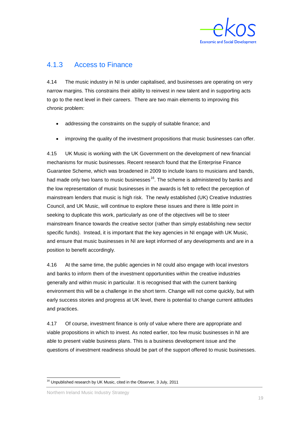

### 4.1.3 Access to Finance

4.14 The music industry in NI is under capitalised, and businesses are operating on very narrow margins. This constrains their ability to reinvest in new talent and in supporting acts to go to the next level in their careers. There are two main elements to improving this chronic problem:

- addressing the constraints on the supply of suitable finance; and
- improving the quality of the investment propositions that music businesses can offer.

4.15 UK Music is working with the UK Government on the development of new financial mechanisms for music businesses. Recent research found that the Enterprise Finance Guarantee Scheme, which was broadened in 2009 to include loans to musicians and bands, had made only two loans to music businesses<sup>[16](#page-29-0)</sup>. The scheme is administered by banks and the low representation of music businesses in the awards is felt to reflect the perception of mainstream lenders that music is high risk. The newly established (UK) Creative Industries Council, and UK Music, will continue to explore these issues and there is little point in seeking to duplicate this work, particularly as one of the objectives will be to steer mainstream finance towards the creative sector (rather than simply establishing new sector specific funds). Instead, it is important that the key agencies in NI engage with UK Music, and ensure that music businesses in NI are kept informed of any developments and are in a position to benefit accordingly.

4.16 At the same time, the public agencies in NI could also engage with local investors and banks to inform them of the investment opportunities within the creative industries generally and within music in particular. It is recognised that with the current banking environment this will be a challenge in the short term. Change will not come quickly, but with early success stories and progress at UK level, there is potential to change current attitudes and practices.

4.17 Of course, investment finance is only of value where there are appropriate and viable propositions in which to invest. As noted earlier, too few music businesses in NI are able to present viable business plans. This is a business development issue and the questions of investment readiness should be part of the support offered to music businesses.

Northern Ireland Music Industry Strategy

<span id="page-29-0"></span> <sup>16</sup> Unpublished research by UK Music, cited in the Observer, 3 July, 2011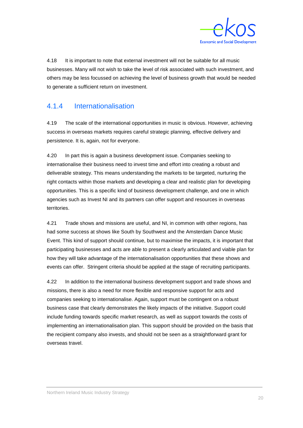

4.18 It is important to note that external investment will not be suitable for all music businesses. Many will not wish to take the level of risk associated with such investment, and others may be less focussed on achieving the level of business growth that would be needed to generate a sufficient return on investment.

### 4.1.4 Internationalisation

4.19 The scale of the international opportunities in music is obvious. However, achieving success in overseas markets requires careful strategic planning, effective delivery and persistence. It is, again, not for everyone.

4.20 In part this is again a business development issue. Companies seeking to internationalise their business need to invest time and effort into creating a robust and deliverable strategy. This means understanding the markets to be targeted, nurturing the right contacts within those markets and developing a clear and realistic plan for developing opportunities. This is a specific kind of business development challenge, and one in which agencies such as Invest NI and its partners can offer support and resources in overseas territories.

4.21 Trade shows and missions are useful, and NI, in common with other regions, has had some success at shows like South by Southwest and the Amsterdam Dance Music Event. This kind of support should continue, but to maximise the impacts, it is important that participating businesses and acts are able to present a clearly articulated and viable plan for how they will take advantage of the internationalisation opportunities that these shows and events can offer. Stringent criteria should be applied at the stage of recruiting participants.

4.22 In addition to the international business development support and trade shows and missions, there is also a need for more flexible and responsive support for acts and companies seeking to internationalise. Again, support must be contingent on a robust business case that clearly demonstrates the likely impacts of the initiative. Support could include funding towards specific market research, as well as support towards the costs of implementing an internationalisation plan. This support should be provided on the basis that the recipient company also invests, and should not be seen as a straightforward grant for overseas travel.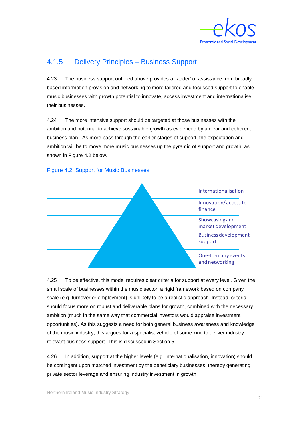

## 4.1.5 Delivery Principles – Business Support

4.23 The business support outlined above provides a 'ladder' of assistance from broadly based information provision and networking to more tailored and focussed support to enable music businesses with growth potential to innovate, access investment and internationalise their businesses.

4.24 The more intensive support should be targeted at those businesses with the ambition and potential to achieve sustainable growth as evidenced by a clear and coherent business plan. As more pass through the earlier stages of support, the expectation and ambition will be to move more music businesses up the pyramid of support and growth, as shown in Figure 4.2 below.



### Figure 4.2: Support for Music Businesses

4.25 To be effective, this model requires clear criteria for support at every level. Given the small scale of businesses within the music sector, a rigid framework based on company scale (e.g. turnover or employment) is unlikely to be a realistic approach. Instead, criteria should focus more on robust and deliverable plans for growth, combined with the necessary ambition (much in the same way that commercial investors would appraise investment opportunities). As this suggests a need for both general business awareness and knowledge of the music industry, this argues for a specialist vehicle of some kind to deliver industry relevant business support. This is discussed in Section 5.

4.26 In addition, support at the higher levels (e.g. internationalisation, innovation) should be contingent upon matched investment by the beneficiary businesses, thereby generating private sector leverage and ensuring industry investment in growth.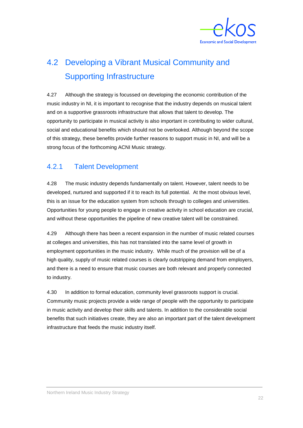

# 4.2 Developing a Vibrant Musical Community and Supporting Infrastructure

4.27 Although the strategy is focussed on developing the economic contribution of the music industry in NI, it is important to recognise that the industry depends on musical talent and on a supportive grassroots infrastructure that allows that talent to develop. The opportunity to participate in musical activity is also important in contributing to wider cultural, social and educational benefits which should not be overlooked. Although beyond the scope of this strategy, these benefits provide further reasons to support music in NI, and will be a strong focus of the forthcoming ACNI Music strategy.

## 4.2.1 Talent Development

4.28 The music industry depends fundamentally on talent. However, talent needs to be developed, nurtured and supported if it to reach its full potential. At the most obvious level, this is an issue for the education system from schools through to colleges and universities. Opportunities for young people to engage in creative activity in school education are crucial, and without these opportunities the pipeline of new creative talent will be constrained.

4.29 Although there has been a recent expansion in the number of music related courses at colleges and universities, this has not translated into the same level of growth in employment opportunities in the music industry. While much of the provision will be of a high quality, supply of music related courses is clearly outstripping demand from employers, and there is a need to ensure that music courses are both relevant and properly connected to industry.

4.30 In addition to formal education, community level grassroots support is crucial. Community music projects provide a wide range of people with the opportunity to participate in music activity and develop their skills and talents. In addition to the considerable social benefits that such initiatives create, they are also an important part of the talent development infrastructure that feeds the music industry itself.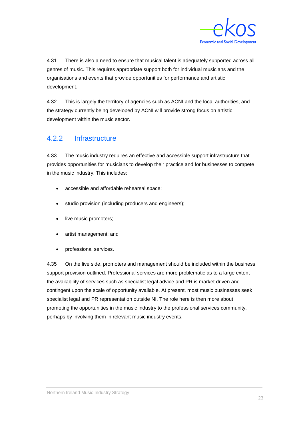

4.31 There is also a need to ensure that musical talent is adequately supported across all genres of music. This requires appropriate support both for individual musicians and the organisations and events that provide opportunities for performance and artistic development.

4.32 This is largely the territory of agencies such as ACNI and the local authorities, and the strategy currently being developed by ACNI will provide strong focus on artistic development within the music sector.

## 4.2.2 Infrastructure

4.33 The music industry requires an effective and accessible support infrastructure that provides opportunities for musicians to develop their practice and for businesses to compete in the music industry. This includes:

- accessible and affordable rehearsal space;
- studio provision (including producers and engineers);
- live music promoters;
- artist management; and
- professional services.

4.35 On the live side, promoters and management should be included within the business support provision outlined. Professional services are more problematic as to a large extent the availability of services such as specialist legal advice and PR is market driven and contingent upon the scale of opportunity available. At present, most music businesses seek specialist legal and PR representation outside NI. The role here is then more about promoting the opportunities in the music industry to the professional services community, perhaps by involving them in relevant music industry events.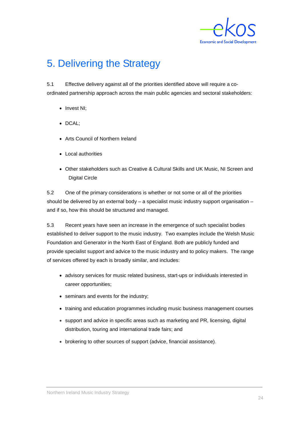

# <span id="page-34-0"></span>5. Delivering the Strategy

5.1 Effective delivery against all of the priorities identified above will require a coordinated partnership approach across the main public agencies and sectoral stakeholders:

- Invest NI;
- DCAL;
- Arts Council of Northern Ireland
- Local authorities
- Other stakeholders such as Creative & Cultural Skills and UK Music, NI Screen and Digital Circle

5.2 One of the primary considerations is whether or not some or all of the priorities should be delivered by an external body – a specialist music industry support organisation – and if so, how this should be structured and managed.

5.3 Recent years have seen an increase in the emergence of such specialist bodies established to deliver support to the music industry. Two examples include the Welsh Music Foundation and Generator in the North East of England. Both are publicly funded and provide specialist support and advice to the music industry and to policy makers. The range of services offered by each is broadly similar, and includes:

- advisory services for music related business, start-ups or individuals interested in career opportunities;
- seminars and events for the industry;
- training and education programmes including music business management courses
- support and advice in specific areas such as marketing and PR, licensing, digital distribution, touring and international trade fairs; and
- brokering to other sources of support (advice, financial assistance).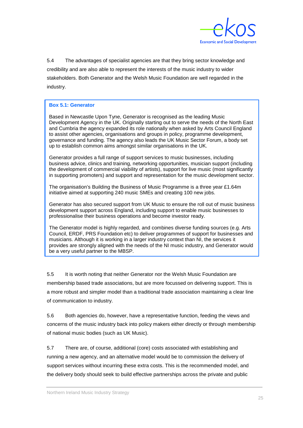

5.4 The advantages of specialist agencies are that they bring sector knowledge and credibility and are also able to represent the interests of the music industry to wider stakeholders. Both Generator and the Welsh Music Foundation are well regarded in the industry.

#### **Box 5.1: Generator**

Based in Newcastle Upon Tyne, Generator is recognised as the leading Music Development Agency in the UK. Originally starting out to serve the needs of the North East and Cumbria the agency expanded its role nationally when asked by Arts Council England to assist other agencies, organisations and groups in policy, programme development, governance and funding. The agency also leads the UK Music Sector Forum, a body set up to establish common aims amongst similar organisations in the UK.

Generator provides a full range of support services to music businesses, including business advice, clinics and training, networking opportunities, musician support (including the development of commercial viability of artists), support for live music (most significantly in supporting promoters) and support and representation for the music development sector.

The organisation's Building the Business of Music Programme is a three year £1.64m initiative aimed at supporting 240 music SMEs and creating 100 new jobs.

Generator has also secured support from UK Music to ensure the roll out of music business development support across England, including support to enable music businesses to professionalise their business operations and become investor ready.

The Generator model is highly regarded, and combines diverse funding sources (e.g. Arts Council, ERDF, PRS Foundation etc) to deliver programmes of support for businesses and musicians. Although it is working in a larger industry context than NI, the services it provides are strongly aligned with the needs of the NI music industry, and Generator would be a very useful partner to the MBSP.

5.5 It is worth noting that neither Generator nor the Welsh Music Foundation are membership based trade associations, but are more focussed on delivering support. This is a more robust and simpler model than a traditional trade association maintaining a clear line of communication to industry.

5.6 Both agencies do, however, have a representative function, feeding the views and concerns of the music industry back into policy makers either directly or through membership of national music bodies (such as UK Music).

5.7 There are, of course, additional (core) costs associated with establishing and running a new agency, and an alternative model would be to commission the delivery of support services without incurring these extra costs. This is the recommended model, and the delivery body should seek to build effective partnerships across the private and public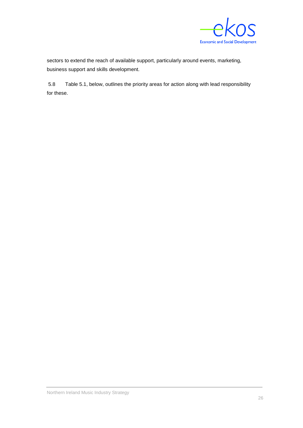

sectors to extend the reach of available support, particularly around events, marketing, business support and skills development.

5.8 Table 5.1, below, outlines the priority areas for action along with lead responsibility for these.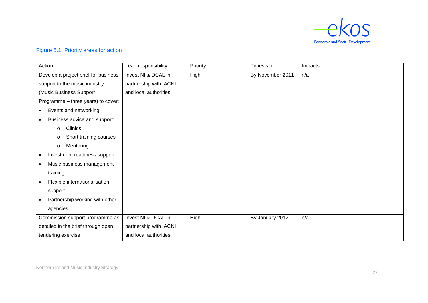

### Figure 5.1: Priority areas for action

| Action                                     | Lead responsibility   | Priority | Timescale        | Impacts |
|--------------------------------------------|-----------------------|----------|------------------|---------|
| Develop a project brief for business       | Invest NI & DCAL in   | High     | By November 2011 | n/a     |
| support to the music industry              | partnership with ACNI |          |                  |         |
| (Music Business Support                    | and local authorities |          |                  |         |
| Programme - three years) to cover:         |                       |          |                  |         |
| Events and networking<br>$\bullet$         |                       |          |                  |         |
| Business advice and support:<br>$\bullet$  |                       |          |                  |         |
| Clinics<br>$\circ$                         |                       |          |                  |         |
| Short training courses<br>O                |                       |          |                  |         |
| Mentoring<br>$\circ$                       |                       |          |                  |         |
| Investment readiness support<br>$\bullet$  |                       |          |                  |         |
| Music business management<br>$\bullet$     |                       |          |                  |         |
| training                                   |                       |          |                  |         |
| Flexible internationalisation<br>$\bullet$ |                       |          |                  |         |
| support                                    |                       |          |                  |         |
| Partnership working with other             |                       |          |                  |         |
| agencies                                   |                       |          |                  |         |
| Commission support programme as            | Invest NI & DCAL in   | High     | By January 2012  | n/a     |
| detailed in the brief through open         | partnership with ACNI |          |                  |         |
| tendering exercise                         | and local authorities |          |                  |         |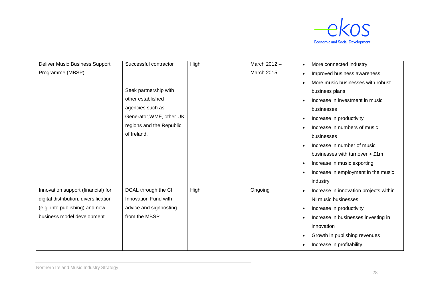

| Deliver Music Business Support        | Successful contractor    | High | March 2012 -      | More connected industry<br>$\bullet$                |
|---------------------------------------|--------------------------|------|-------------------|-----------------------------------------------------|
| Programme (MBSP)                      |                          |      | <b>March 2015</b> | Improved business awareness<br>$\bullet$            |
|                                       |                          |      |                   | More music businesses with robust<br>$\bullet$      |
|                                       | Seek partnership with    |      |                   | business plans                                      |
|                                       | other established        |      |                   | Increase in investment in music<br>$\bullet$        |
|                                       | agencies such as         |      |                   | businesses                                          |
|                                       | Generator, WMF, other UK |      |                   | Increase in productivity<br>$\bullet$               |
|                                       | regions and the Republic |      |                   | Increase in numbers of music<br>$\bullet$           |
|                                       | of Ireland.              |      |                   | businesses                                          |
|                                       |                          |      |                   | Increase in number of music<br>$\bullet$            |
|                                       |                          |      |                   | businesses with turnover > £1m                      |
|                                       |                          |      |                   | Increase in music exporting<br>$\bullet$            |
|                                       |                          |      |                   | Increase in employment in the music<br>$\bullet$    |
|                                       |                          |      |                   | industry                                            |
| Innovation support (financial) for    | DCAL through the CI      | High | Ongoing           | Increase in innovation projects within<br>$\bullet$ |
| digital distribution, diversification | Innovation Fund with     |      |                   | NI music businesses                                 |
| (e.g. into publishing) and new        | advice and signposting   |      |                   | Increase in productivity<br>$\bullet$               |
| business model development            | from the MBSP            |      |                   | Increase in businesses investing in<br>$\bullet$    |
|                                       |                          |      |                   | innovation                                          |
|                                       |                          |      |                   | Growth in publishing revenues<br>$\bullet$          |
|                                       |                          |      |                   | Increase in profitability<br>$\bullet$              |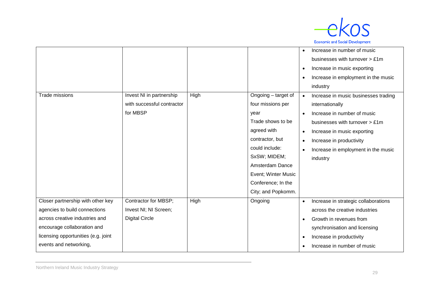

|                                     |                            |      |                     | $\bullet$ | Increase in number of music                   |
|-------------------------------------|----------------------------|------|---------------------|-----------|-----------------------------------------------|
|                                     |                            |      |                     |           | businesses with turnover $> \pounds 1m$       |
|                                     |                            |      |                     | $\bullet$ | Increase in music exporting                   |
|                                     |                            |      |                     | $\bullet$ | Increase in employment in the music           |
|                                     |                            |      |                     |           | industry                                      |
| <b>Trade missions</b>               | Invest NI in partnership   | High | Ongoing – target of | $\bullet$ | Increase in music businesses trading          |
|                                     | with successful contractor |      | four missions per   |           | internationally                               |
|                                     | for MBSP                   |      | year                | $\bullet$ | Increase in number of music                   |
|                                     |                            |      | Trade shows to be   |           | businesses with turnover $> \text{\pounds}1m$ |
|                                     |                            |      | agreed with         | $\bullet$ | Increase in music exporting                   |
|                                     |                            |      | contractor, but     | $\bullet$ | Increase in productivity                      |
|                                     |                            |      | could include:      | $\bullet$ | Increase in employment in the music           |
|                                     |                            |      | SxSW; MIDEM;        |           | industry                                      |
|                                     |                            |      | Amsterdam Dance     |           |                                               |
|                                     |                            |      | Event; Winter Music |           |                                               |
|                                     |                            |      | Conference; In the  |           |                                               |
|                                     |                            |      | City; and Popkomm.  |           |                                               |
| Closer partnership with other key   | Contractor for MBSP;       | High | Ongoing             | $\bullet$ | Increase in strategic collaborations          |
| agencies to build connections       | Invest NI; NI Screen;      |      |                     |           | across the creative industries                |
| across creative industries and      | <b>Digital Circle</b>      |      |                     | $\bullet$ | Growth in revenues from                       |
| encourage collaboration and         |                            |      |                     |           | synchronisation and licensing                 |
| licensing opportunities (e.g. joint |                            |      |                     | $\bullet$ | Increase in productivity                      |
| events and networking,              |                            |      |                     | $\bullet$ | Increase in number of music                   |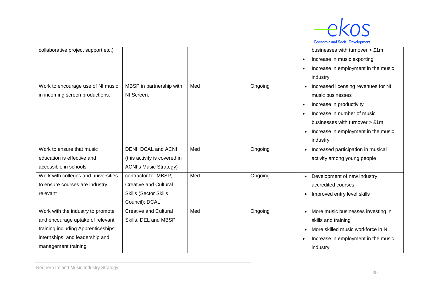

| collaborative project support etc.) |                               |     |         | businesses with turnover > £1m                   |
|-------------------------------------|-------------------------------|-----|---------|--------------------------------------------------|
|                                     |                               |     |         | Increase in music exporting<br>$\bullet$         |
|                                     |                               |     |         | Increase in employment in the music<br>$\bullet$ |
|                                     |                               |     |         | industry                                         |
| Work to encourage use of NI music   | MBSP in partnership with      | Med | Ongoing | Increased licensing revenues for NI              |
| in incoming screen productions.     | NI Screen.                    |     |         | music businesses                                 |
|                                     |                               |     |         | Increase in productivity<br>$\bullet$            |
|                                     |                               |     |         | Increase in number of music<br>$\bullet$         |
|                                     |                               |     |         | businesses with turnover > £1m                   |
|                                     |                               |     |         | Increase in employment in the music<br>$\bullet$ |
|                                     |                               |     |         | industry                                         |
| Work to ensure that music           | <b>DENI</b> ; DCAL and ACNI   | Med | Ongoing | Increased participation in musical               |
| education is effective and          | (this activity is covered in  |     |         | activity among young people                      |
| accessible in schools               | <b>ACNI's Music Strategy)</b> |     |         |                                                  |
| Work with colleges and universities | contractor for MBSP;          | Med | Ongoing | Development of new industry                      |
| to ensure courses are industry      | <b>Creative and Cultural</b>  |     |         | accredited courses                               |
| relevant                            | <b>Skills (Sector Skills</b>  |     |         | Improved entry level skills                      |
|                                     | Council); DCAL                |     |         |                                                  |
| Work with the industry to promote   | <b>Creative and Cultural</b>  | Med | Ongoing | More music businesses investing in               |
| and encourage uptake of relevant    | Skills, DEL and MBSP          |     |         | skills and training                              |
| training including Apprenticeships; |                               |     |         | More skilled music workforce in NI<br>$\bullet$  |
| internships; and leadership and     |                               |     |         | Increase in employment in the music<br>$\bullet$ |
| management training                 |                               |     |         | industry                                         |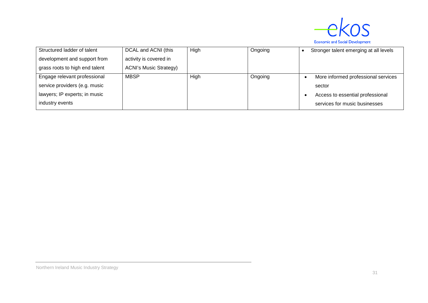

| Structured ladder of talent    | DCAL and ACNI (this           | High | Ongoing | Stronger talent emerging at all levels |
|--------------------------------|-------------------------------|------|---------|----------------------------------------|
| development and support from   | activity is covered in        |      |         |                                        |
| grass roots to high end talent | <b>ACNI's Music Strategy)</b> |      |         |                                        |
| Engage relevant professional   | <b>MBSP</b>                   | High | Ongoing | More informed professional services    |
| service providers (e.g. music  |                               |      |         | sector                                 |
| lawyers; IP experts; in music  |                               |      |         | Access to essential professional       |
| industry events                |                               |      |         | services for music businesses          |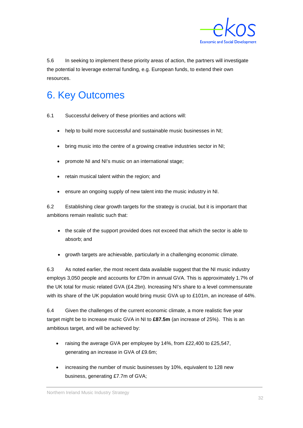

5.6 In seeking to implement these priority areas of action, the partners will investigate the potential to leverage external funding, e.g. European funds, to extend their own resources.

# <span id="page-42-0"></span>6. Key Outcomes

- 6.1 Successful delivery of these priorities and actions will:
	- help to build more successful and sustainable music businesses in NI;
	- bring music into the centre of a growing creative industries sector in NI;
	- promote NI and NI's music on an international stage;
	- retain musical talent within the region; and
	- ensure an ongoing supply of new talent into the music industry in NI.

6.2 Establishing clear growth targets for the strategy is crucial, but it is important that ambitions remain realistic such that:

- the scale of the support provided does not exceed that which the sector is able to absorb; and
- growth targets are achievable, particularly in a challenging economic climate.

6.3 As noted earlier, the most recent data available suggest that the NI music industry employs 3,050 people and accounts for £70m in annual GVA. This is approximately 1.7% of the UK total for music related GVA (£4.2bn). Increasing NI's share to a level commensurate with its share of the UK population would bring music GVA up to £101m, an increase of 44%.

6.4 Given the challenges of the current economic climate, a more realistic five year target might be to increase music GVA in NI to **£87.5m** (an increase of 25%). This is an ambitious target, and will be achieved by:

- raising the average GVA per employee by 14%, from £22,400 to £25,547, generating an increase in GVA of £9.6m;
- increasing the number of music businesses by 10%, equivalent to 128 new business, generating £7.7m of GVA;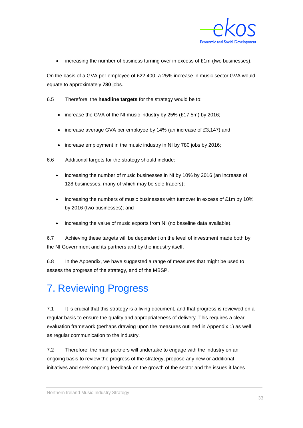

increasing the number of business turning over in excess of  $£1m$  (two businesses).

On the basis of a GVA per employee of £22,400, a 25% increase in music sector GVA would equate to approximately **780** jobs.

6.5 Therefore, the **headline targets** for the strategy would be to:

- increase the GVA of the NI music industry by 25% (£17.5m) by 2016;
- increase average GVA per employee by 14% (an increase of £3,147) and
- increase employment in the music industry in NI by 780 jobs by 2016;
- 6.6 Additional targets for the strategy should include:
	- increasing the number of music businesses in NI by 10% by 2016 (an increase of 128 businesses, many of which may be sole traders);
	- increasing the numbers of music businesses with turnover in excess of £1m by 10% by 2016 (two businesses); and
	- increasing the value of music exports from NI (no baseline data available).

6.7 Achieving these targets will be dependent on the level of investment made both by the NI Government and its partners and by the industry itself.

6.8 In the Appendix, we have suggested a range of measures that might be used to assess the progress of the strategy, and of the MBSP.

# <span id="page-43-0"></span>7. Reviewing Progress

7.1 It is crucial that this strategy is a living document, and that progress is reviewed on a regular basis to ensure the quality and appropriateness of delivery. This requires a clear evaluation framework (perhaps drawing upon the measures outlined in Appendix 1) as well as regular communication to the industry.

7.2 Therefore, the main partners will undertake to engage with the industry on an ongoing basis to review the progress of the strategy, propose any new or additional initiatives and seek ongoing feedback on the growth of the sector and the issues it faces.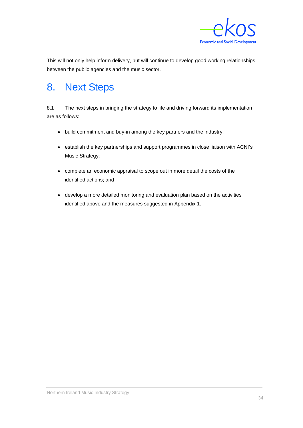

This will not only help inform delivery, but will continue to develop good working relationships between the public agencies and the music sector.

# <span id="page-44-0"></span>8. Next Steps

8.1 The next steps in bringing the strategy to life and driving forward its implementation are as follows:

- build commitment and buy-in among the key partners and the industry;
- establish the key partnerships and support programmes in close liaison with ACNI's Music Strategy;
- complete an economic appraisal to scope out in more detail the costs of the identified actions; and
- develop a more detailed monitoring and evaluation plan based on the activities identified above and the measures suggested in Appendix 1.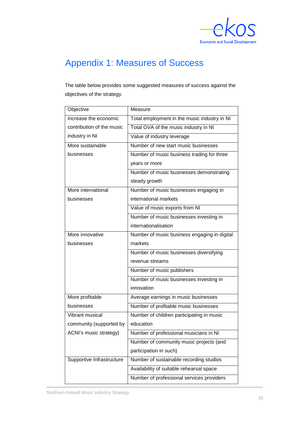

# <span id="page-45-0"></span>Appendix 1: Measures of Success

The table below provides some suggested measures of success against the objectives of the strategy.

| Objective                 | Measure                                      |
|---------------------------|----------------------------------------------|
| Increase the economic     | Total employment in the music industry in NI |
| contribution of the music | Total GVA of the music industry in NI        |
| industry in NI            | Value of industry leverage                   |
| More sustainable          | Number of new start music businesses         |
| businesses                | Number of music business trading for three   |
|                           | years or more                                |
|                           | Number of music businesses demonstrating     |
|                           | steady growth                                |
| More international        | Number of music businesses engaging in       |
| businesses                | international markets                        |
|                           | Value of music exports from NI               |
|                           | Number of music businesses investing in      |
|                           | internationalisation                         |
| More innovative           | Number of music business engaging in digital |
| businesses                | markets                                      |
|                           | Number of music businesses diversifying      |
|                           | revenue streams                              |
|                           | Number of music publishers                   |
|                           | Number of music businesses investing in      |
|                           | innovation                                   |
| More profitable           | Average earnings in music businesses         |
| businesses                | Number of profitable music businesses        |
| Vibrant musical           | Number of children participating in music    |
| community (supported by   | education                                    |
| ACNI's music strategy)    | Number of professional musicians in NI       |
|                           | Number of community music projects (and      |
|                           | participation in such)                       |
| Supportive Infrastructure | Number of sustainable recording studios      |
|                           | Availability of suitable rehearsal space     |
|                           | Number of professional services providers    |
|                           |                                              |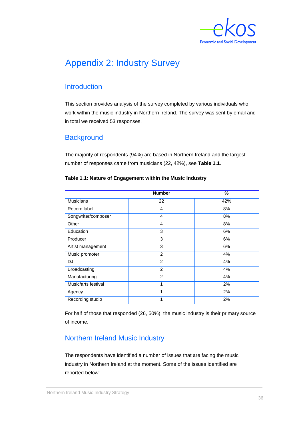

## <span id="page-46-0"></span>Appendix 2: Industry Survey

## **Introduction**

This section provides analysis of the survey completed by various individuals who work within the music industry in Northern Ireland. The survey was sent by email and in total we received 53 responses.

## **Background**

The majority of respondents (94%) are based in Northern Ireland and the largest number of responses came from musicians (22, 42%), see **Table 1.1**.

|                     | <b>Number</b>  | $\%$ |
|---------------------|----------------|------|
| <b>Musicians</b>    | 22             | 42%  |
| Record label        | $\overline{4}$ | 8%   |
| Songwriter/composer | 4              | 8%   |
| Other               | $\overline{4}$ | 8%   |
| Education           | 3              | 6%   |
| Producer            | 3              | 6%   |
| Artist management   | 3              | 6%   |
| Music promoter      | 2              | 4%   |
| <b>DJ</b>           | 2              | 4%   |
| <b>Broadcasting</b> | $\overline{2}$ | 4%   |
| Manufacturing       | 2              | 4%   |
| Music/arts festival | 1              | 2%   |
| Agency              | 1              | 2%   |
| Recording studio    | 1              | 2%   |

#### **Table 1.1: Nature of Engagement within the Music Industry**

For half of those that responded (26, 50%), the music industry is their primary source of income.

## Northern Ireland Music Industry

The respondents have identified a number of issues that are facing the music industry in Northern Ireland at the moment. Some of the issues identified are reported below: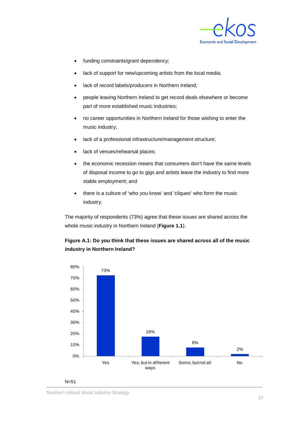

- funding constraints/grant dependency;
- lack of support for new/upcoming artists from the local media;
- lack of record labels/producers in Northern Ireland;
- people leaving Northern Ireland to get record deals elsewhere or become part of more established music industries;
- no career opportunities in Northern Ireland for those wishing to enter the music industry;
- lack of a professional infrastructure/management structure;
- lack of venues/rehearsal places;
- the economic recession means that consumers don't have the same levels of disposal income to go to gigs and artists leave the industry to find more stable employment; and
- there is a culture of 'who you know' and 'cliques' who form the music industry.

The majority of respondents (73%) agree that these issues are shared across the whole music industry in Northern Ireland (**Figure 1.1**).

### **Figure A.1: Do you think that these issues are shared across all of the music industry in Northern Ireland?**

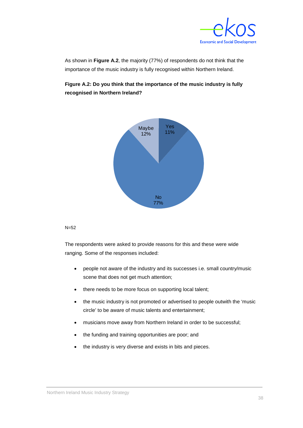

As shown in **Figure A.2**, the majority (77%) of respondents do not think that the importance of the music industry is fully recognised within Northern Ireland.

### **Figure A.2: Do you think that the importance of the music industry is fully recognised in Northern Ireland?**



#### $N=52$

The respondents were asked to provide reasons for this and these were wide ranging. Some of the responses included:

- people not aware of the industry and its successes i.e. small country/music scene that does not get much attention;
- there needs to be more focus on supporting local talent;
- the music industry is not promoted or advertised to people outwith the 'music circle' to be aware of music talents and entertainment;
- musicians move away from Northern Ireland in order to be successful;
- the funding and training opportunities are poor; and
- the industry is very diverse and exists in bits and pieces.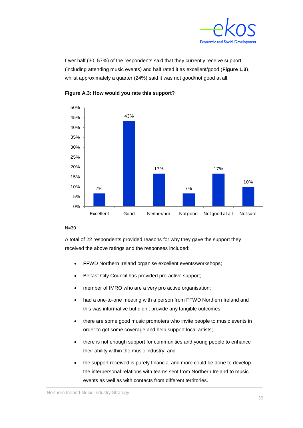

Over half (30, 57%) of the respondents said that they currently receive support (including attending music events) and half rated it as excellent/good (**Figure 1.3**), whilst approximately a quarter (24%) said it was not good/not good at all.





#### $N=30$

A total of 22 respondents provided reasons for why they gave the support they received the above ratings and the responses included:

- FFWD Northern Ireland organise excellent events/workshops;
- Belfast City Council has provided pro-active support;
- member of IMRO who are a very pro active organisation;
- had a one-to-one meeting with a person from FFWD Northern Ireland and this was informative but didn't provide any tangible outcomes;
- there are some good music promoters who invite people to music events in order to get some coverage and help support local artists;
- there is not enough support for communities and young people to enhance their ability within the music industry; and
- the support received is purely financial and more could be done to develop the interpersonal relations with teams sent from Northern Ireland to music events as well as with contacts from different territories.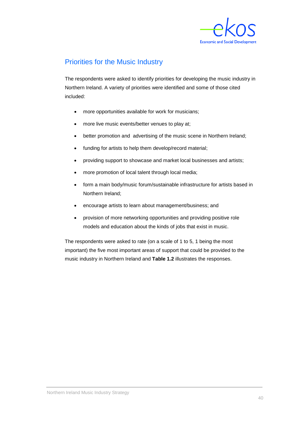

## Priorities for the Music Industry

The respondents were asked to identify priorities for developing the music industry in Northern Ireland. A variety of priorities were identified and some of those cited included:

- more opportunities available for work for musicians;
- more live music events/better venues to play at;
- better promotion and advertising of the music scene in Northern Ireland;
- funding for artists to help them develop/record material;
- providing support to showcase and market local businesses and artists;
- more promotion of local talent through local media;
- form a main body/music forum/sustainable infrastructure for artists based in Northern Ireland;
- encourage artists to learn about management/business; and
- provision of more networking opportunities and providing positive role models and education about the kinds of jobs that exist in music.

The respondents were asked to rate (on a scale of 1 to 5, 1 being the most important) the five most important areas of support that could be provided to the music industry in Northern Ireland and **Table 1.2** illustrates the responses.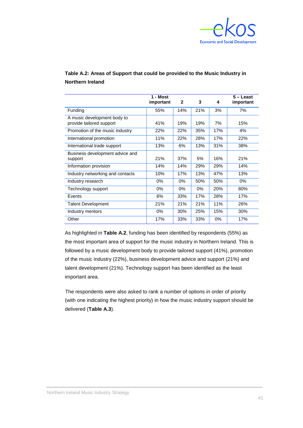

| Table A.2: Areas of Support that could be provided to the Music Industry in |  |
|-----------------------------------------------------------------------------|--|
| <b>Northern Ireland</b>                                                     |  |

|                                                         | 1 - Most<br>important | $\mathbf{2}$ | 3     | 4     | $5 -$ Least<br>important |
|---------------------------------------------------------|-----------------------|--------------|-------|-------|--------------------------|
| Funding                                                 | 55%                   | 14%          | 21%   | 3%    | 7%                       |
| A music development body to<br>provide tailored support | 41%                   | 19%          | 19%   | 7%    | 15%                      |
| Promotion of the music industry                         | 22%                   | 22%          | 35%   | 17%   | 4%                       |
| International promotion                                 | 11%                   | 22%          | 28%   | 17%   | 22%                      |
| International trade support                             | 13%                   | 6%           | 13%   | 31%   | 38%                      |
| Business development advice and<br>support              | 21%                   | 37%          | 5%    | 16%   | 21%                      |
| Information provision                                   | 14%                   | 14%          | 29%   | 29%   | 14%                      |
| Industry networking and contacts                        | 10%                   | 17%          | 13%   | 47%   | 13%                      |
| Industry research                                       | $0\%$                 | $0\%$        | 50%   | 50%   | $0\%$                    |
| Technology support                                      | 0%                    | $0\%$        | $0\%$ | 20%   | 80%                      |
| Events                                                  | 6%                    | 33%          | 17%   | 28%   | 17%                      |
| <b>Talent Development</b>                               | 21%                   | 21%          | 21%   | 11%   | 26%                      |
| Industry mentors                                        | $0\%$                 | 30%          | 25%   | 15%   | 30%                      |
| Other                                                   | 17%                   | 33%          | 33%   | $0\%$ | 17%                      |

As highlighted in **Table A.2**, funding has been identified by respondents (55%) as the most important area of support for the music industry in Northern Ireland. This is followed by a music development body to provide tailored support (41%), promotion of the music industry (22%), business development advice and support (21%) and talent development (21%). Technology support has been identified as the least important area.

The respondents were also asked to rank a number of options in order of priority (with one indicating the highest priority) in how the music industry support should be delivered (**Table A.3**).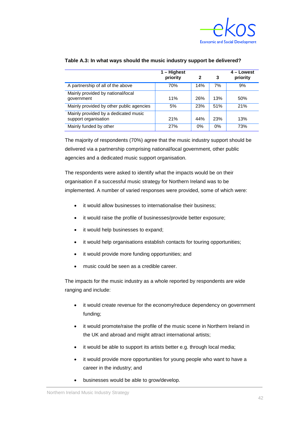

|                                                              | 1 – Highest<br>priority | 2   | 3   | 4 - Lowest<br>priority |
|--------------------------------------------------------------|-------------------------|-----|-----|------------------------|
| A partnership of all of the above                            | 70%                     | 14% | 7%  | 9%                     |
| Mainly provided by national/local<br>government              | 11%                     | 26% | 13% | 50%                    |
| Mainly provided by other public agencies                     | 5%                      | 23% | 51% | 21%                    |
| Mainly provided by a dedicated music<br>support organisation | 21%                     | 44% | 23% | 13%                    |
| Mainly funded by other                                       | 27%                     | 0%  | 0%  | 73%                    |

#### **Table A.3: In what ways should the music industry support be delivered?**

The majority of respondents (70%) agree that the music industry support should be delivered via a partnership comprising national/local government, other public agencies and a dedicated music support organisation.

The respondents were asked to identify what the impacts would be on their organisation if a successful music strategy for Northern Ireland was to be implemented. A number of varied responses were provided, some of which were:

- it would allow businesses to internationalise their business:
- it would raise the profile of businesses/provide better exposure;
- it would help businesses to expand;
- it would help organisations establish contacts for touring opportunities;
- it would provide more funding opportunities; and
- music could be seen as a credible career.

The impacts for the music industry as a whole reported by respondents are wide ranging and include:

- it would create revenue for the economy/reduce dependency on government funding;
- it would promote/raise the profile of the music scene in Northern Ireland in the UK and abroad and might attract international artists;
- it would be able to support its artists better e.g. through local media;
- it would provide more opportunities for young people who want to have a career in the industry; and
- businesses would be able to grow/develop.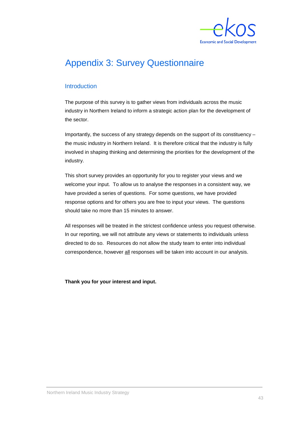

## <span id="page-53-0"></span>Appendix 3: Survey Questionnaire

### Introduction

The purpose of this survey is to gather views from individuals across the music industry in Northern Ireland to inform a strategic action plan for the development of the sector.

Importantly, the success of any strategy depends on the support of its constituency – the music industry in Northern Ireland. It is therefore critical that the industry is fully involved in shaping thinking and determining the priorities for the development of the industry.

This short survey provides an opportunity for you to register your views and we welcome your input. To allow us to analyse the responses in a consistent way, we have provided a series of questions. For some questions, we have provided response options and for others you are free to input your views. The questions should take no more than 15 minutes to answer.

All responses will be treated in the strictest confidence unless you request otherwise. In our reporting, we will not attribute any views or statements to individuals unless directed to do so. Resources do not allow the study team to enter into individual correspondence, however all responses will be taken into account in our analysis.

**Thank you for your interest and input.**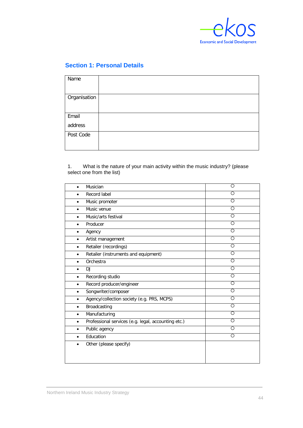

### **Section 1: Personal Details**

| Name         |  |
|--------------|--|
|              |  |
| Organisation |  |
|              |  |
| Email        |  |
| address      |  |
| Post Code    |  |
|              |  |

### 1. What is the nature of your main activity within the music industry? (please select one from the list)

| Musician<br>$\bullet$                                            | $\overline{\circ}$ |
|------------------------------------------------------------------|--------------------|
| Record label                                                     | O                  |
| Music promoter<br>$\bullet$                                      | $\overline{O}$     |
| Music venue<br>$\bullet$                                         | $\overline{O}$     |
| Music/arts festival<br>$\bullet$                                 | $\overline{\circ}$ |
| Producer<br>$\bullet$                                            | $\overline{\circ}$ |
| Agency<br>$\bullet$                                              | $\overline{\circ}$ |
| Artist management<br>$\bullet$                                   | O                  |
| Retailer (recordings)                                            | $\overline{\circ}$ |
| Retailer (instruments and equipment)<br>$\bullet$                | $\overline{\circ}$ |
| Orchestra<br>$\bullet$                                           | $\overline{\circ}$ |
| DJ<br>$\bullet$                                                  | Ō                  |
| Recording studio<br>$\bullet$                                    | $\overline{\circ}$ |
| Record producer/engineer<br>$\bullet$                            | $\circ$            |
| Songwriter/composer<br>$\bullet$                                 | $\overline{\circ}$ |
| Agency/collection society (e.g. PRS, MCPS)<br>٠                  | $\overline{O}$     |
| Broadcasting<br>$\bullet$                                        | Ō                  |
| Manufacturing<br>$\bullet$                                       | O                  |
| Professional services (e.g. legal, accounting etc.)<br>$\bullet$ | $\overline{O}$     |
| Public agency                                                    | $\overline{\circ}$ |
| Education                                                        | O                  |
| Other (please specify)                                           |                    |
|                                                                  |                    |
|                                                                  |                    |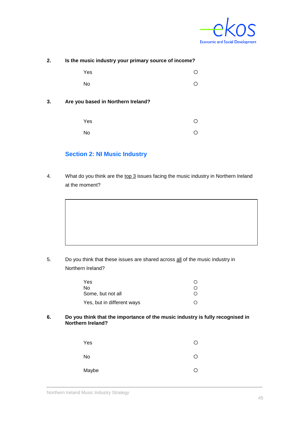

| 2. |                                    | Is the music industry your primary source of income? |  |
|----|------------------------------------|------------------------------------------------------|--|
|    | Yes                                |                                                      |  |
|    | No                                 |                                                      |  |
| 3. | Are you based in Northern Ireland? |                                                      |  |
|    | Yes                                |                                                      |  |
|    | No                                 |                                                      |  |

### **Section 2: NI Music Industry**

4. What do you think are the top 3 issues facing the music industry in Northern Ireland at the moment?

5. Do you think that these issues are shared across all of the music industry in Northern Ireland?

| Yes                        |                  |
|----------------------------|------------------|
| No.                        |                  |
| Some, but not all          | $\left( \right)$ |
| Yes, but in different ways |                  |

**6. Do you think that the importance of the music industry is fully recognised in Northern Ireland?**

| Yes       | Ω |
|-----------|---|
| <b>No</b> | ∩ |
| Maybe     | ∩ |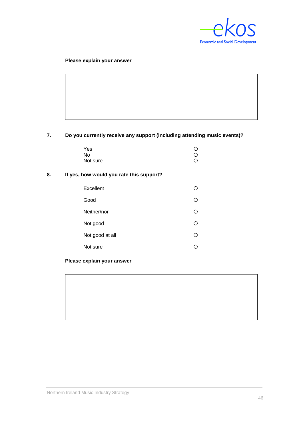

#### **Please explain your answer**

### **7. Do you currently receive any support (including attending music events)?**

| Yes      | O       |
|----------|---------|
| No.      | O       |
| Not sure | $\circ$ |

### **8. If yes, how would you rate this support?**

| Excellent       |    |
|-----------------|----|
| Good            | () |
| Neither/nor     |    |
| Not good        | () |
| Not good at all | () |
| Not sure        |    |

**Please explain your answer**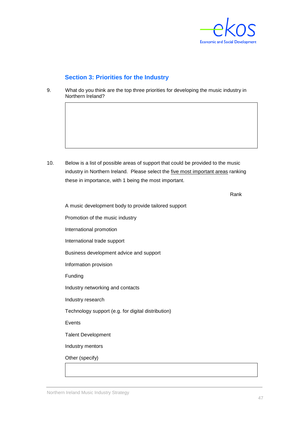

### **Section 3: Priorities for the Industry**

9. What do you think are the top three priorities for developing the music industry in Northern Ireland?

10. Below is a list of possible areas of support that could be provided to the music industry in Northern Ireland. Please select the <u>five most important areas</u> ranking these in importance, with 1 being the most important.

Rank

A music development body to provide tailored support

Promotion of the music industry

International promotion

International trade support

Business development advice and support

Information provision

Funding

Industry networking and contacts

Industry research

Technology support (e.g. for digital distribution)

Events

Talent Development

Industry mentors

Other (specify)

Northern Ireland Music Industry Strategy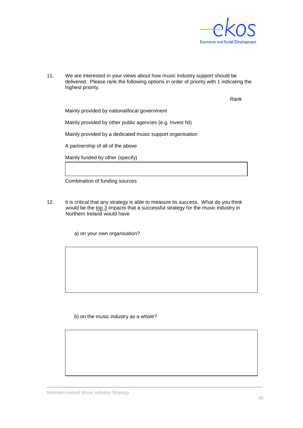

11. We are interested in your views about how music industry support should be delivered. Please rank the following options in order of priority with 1 indicating the highest priority.

Rank

Mainly provided by national/local government

Mainly provided by other public agencies (e.g. Invest NI)

Mainly provided by a dedicated music support organisation

A partnership of all of the above

Mainly funded by other (specify)

Combination of funding sources

12. It is critical that any strategy is able to measure its success. What do you think would be the top 3 impacts that a successful strategy for the music industry in Northern Ireland would have

a) on your own organisation?

b) on the music industry as a whole?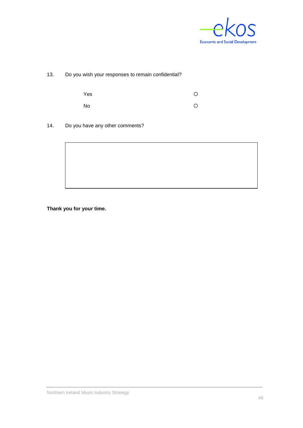

13. Do you wish your responses to remain confidential?

| Yes | O |
|-----|---|
| No  | O |

14. Do you have any other comments?



**Thank you for your time.**